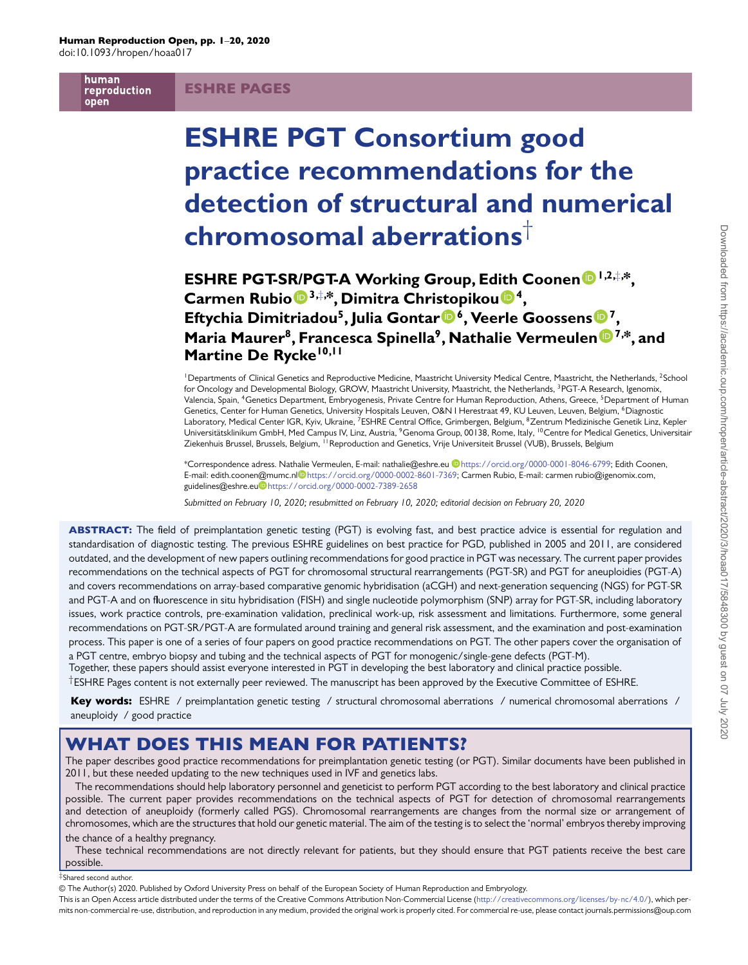human reproduction open

# ESHRE PAGES

# **ESHRE PGT Consortium good practice recommendations for the detection of structural and numerical chromosomal aberrations**†

**ESHRE PGT-S[R/P](http://orcid.org/0000-0002-7389-2658)GT-A Working Group, Ed[ith](http://orcid.org/0000-0001-8889-1255) Coonen [1](http://orcid.org/0000-0002-8601-7369),2,**‡**, \*, Carmen Rubio 3,**‡**, \*, Dimitra Chri[sto](http://orcid.org/0000-0002-3261-3130)pikou 4, Eftychia Dimitriadou5, Julia Gontar 6, Veerle Goossens [7](http://orcid.org/0000-0002-9342-2143), Maria Maurer8, Francesca Spinella9, Nathalie Vermeulen [7](http://orcid.org/0000-0001-8046-6799),\*, and Martine De Rycke10,11**

<sup>1</sup>Departments of Clinical Genetics and Reproductive Medicine, Maastricht University Medical Centre, Maastricht, the Netherlands, <sup>2</sup>School for Oncology and Developmental Biology, GROW, Maastricht University, Maastricht, the Netherlands, <sup>3</sup>PGT-A Research, Igenomix, Valencia, Spain, <sup>4</sup>Genetics Department, Embryogenesis, Private Centre for Human Reproduction, Athens, Greece, <sup>5</sup>Department of Human Genetics, Center for Human Genetics, University Hospitals Leuven, O&N I Herestraat 49, KU Leuven, Leuven, Belgium, <sup>6</sup>Diagnostic Laboratory, Medical Center IGR, Kyiv, Ukraine, <sup>7</sup>ESHRE Central Office, Grimbergen, Belgium, <sup>8</sup>Zentrum Medizinische Genetik Linz, Kepler Universitätsklinikum GmbH, Med Campus IV, Linz, Austria, <sup>9</sup>Genoma Group, 00138, Rome, Italy, <sup>10</sup>Centre for Medical Genetics, Universitair Ziekenhuis Brussel, Brussels, Belgium, <sup>11</sup> Reproduction and Genetics, Vrije Universiteit Brussel (VUB), Brussels, Belgium

\*Correspondence adress. Nat[halie](https://orcid.org/0000-0002-8601-7369) Vermeulen, E-mail: nathalie@eshre.eu [https://orcid.org/0000-0001-8046-6799;](https://orcid.org/0000-0001-8046-6799) Edith Coonen, E-mail: edith.coone[n@m](https://orcid.org/0000-0002-7389-2658)umc.nl<sup>oh</sup>[https://orcid.org/0000-0002-8601-7369;](https://orcid.org/0000-0002-8601-7369) Carmen Rubio, E-mail: carmen rubio@igenomix.com, guidelines@eshre.eu<sup>D</sup><https://orcid.org/0000-0002-7389-2658>

*Submitted on February 10, 2020; resubmitted on February 10, 2020; editorial decision on February 20, 2020*

ABSTRACT: The field of preimplantation genetic testing (PGT) is evolving fast, and best practice advice is essential for regulation and standardisation of diagnostic testing. The previous ESHRE guidelines on best practice for PGD, published in 2005 and 2011, are considered outdated, and the development of new papers outlining recommendations for good practice in PGT was necessary. The current paper provides recommendations on the technical aspects of PGT for chromosomal structural rearrangements (PGT-SR) and PGT for aneuploidies (PGT-A) and covers recommendations on array-based comparative genomic hybridisation (aCGH) and next-generation sequencing (NGS) for PGT-SR and PGT-A and on fluorescence in situ hybridisation (FISH) and single nucleotide polymorphism (SNP) array for PGT-SR, including laboratory issues, work practice controls, pre-examination validation, preclinical work-up, risk assessment and limitations. Furthermore, some general recommendations on PGT-SR/PGT-A are formulated around training and general risk assessment, and the examination and post-examination process. This paper is one of a series of four papers on good practice recommendations on PGT. The other papers cover the organisation of a PGT centre, embryo biopsy and tubing and the technical aspects of PGT for monogenic/single-gene defects (PGT-M).

Together, these papers should assist everyone interested in PGT in developing the best laboratory and clinical practice possible.

†ESHRE Pages content is not externally peer reviewed. The manuscript has been approved by the Executive Committee of ESHRE.

Key words: ESHRE / preimplantation genetic testing / structural chromosomal aberrations / numerical chromosomal aberrations / aneuploidy / good practice

# WHAT DOES THIS MEAN FOR PATIENTS?

The paper describes good practice recommendations for preimplantation genetic testing (or PGT). Similar documents have been published in 2011, but these needed updating to the new techniques used in IVF and genetics labs.

The recommendations should help laboratory personnel and geneticist to perform PGT according to the best laboratory and clinical practice possible. The current paper provides recommendations on the technical aspects of PGT for detection of chromosomal rearrangements and detection of aneuploidy (formerly called PGS). Chromosomal rearrangements are changes from the normal size or arrangement of chromosomes, which are the structures that hold our genetic material. The aim of the testing is to select the 'normal' embryos thereby improving

the chance of a healthy pregnancy.

These technical recommendations are not directly relevant for patients, but they should ensure that PGT patients receive the best care possible.

#### ‡Shared second author.

© The Author(s) 2020. Published by Oxford University Press on behalf of the European Society of Human Reproduction and Embryology.

This is an Open Access article distributed under the terms of the Creative Commons Attribution Non-Commercial License [\(http://creativecommons.org/licenses/by-nc/4.0/\)](http://creativecommons.org/licenses/by-nc/4.0/), which permits non-commercial re-use, distribution, and reproduction in any medium, provided the original work is properly cited. For commercial re-use, please contact journals.permissions@oup.com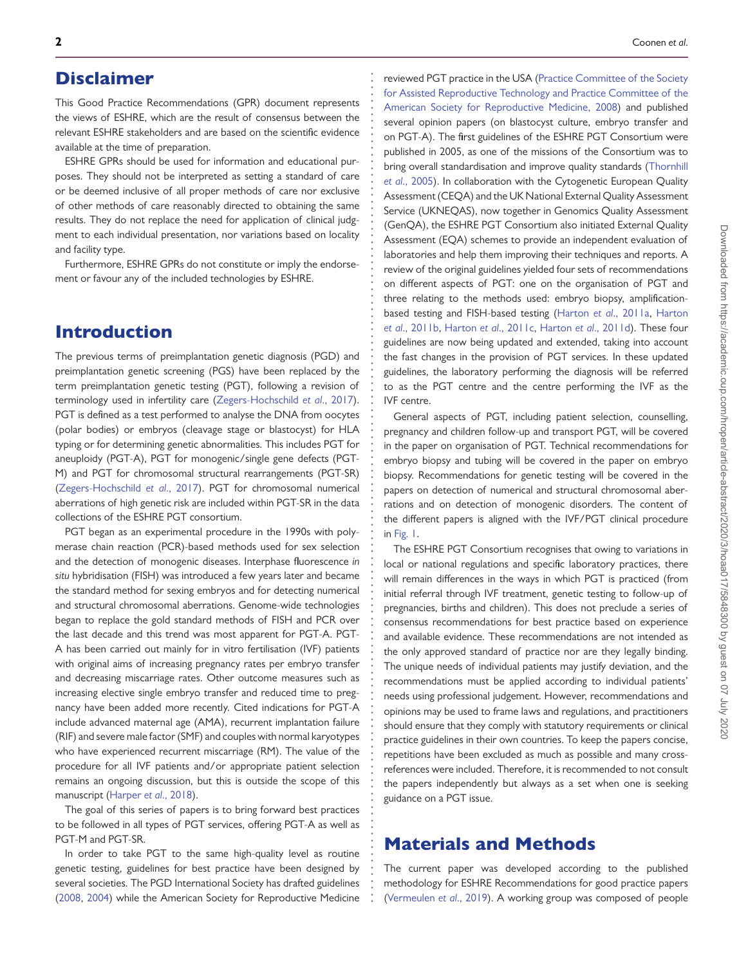# Disclaimer

This Good Practice Recommendations (GPR) document represents the views of ESHRE, which are the result of consensus between the relevant ESHRE stakeholders and are based on the scientific evidence available at the time of preparation.

**. . . . . . . . . . . . . . . . . . . . . . . . . . . . . . . . . . . . . . . . . . . . . . . . . . . . . . . . . . . . . . . . . . . . . . . . . . . . . . . . . . . . . . . . . . . . . . . . . . . . . . . . . . . . . . . . . . . . . . . . . . . .**

ESHRE GPRs should be used for information and educational purposes. They should not be interpreted as setting a standard of care or be deemed inclusive of all proper methods of care nor exclusive of other methods of care reasonably directed to obtaining the same results. They do not replace the need for application of clinical judgment to each individual presentation, nor variations based on locality and facility type.

Furthermore, ESHRE GPRs do not constitute or imply the endorsement or favour any of the included technologies by ESHRE.

# Introduction

The previous terms of preimplantation genetic diagnosis (PGD) and preimplantation genetic screening (PGS) have been replaced by the term preimplantation genetic testing (PGT), following a revision of terminology used in infertility care [\(Zegers-Hochschild](#page-19-0) *et al*., 2017). PGT is defined as a test performed to analyse the DNA from oocytes (polar bodies) or embryos (cleavage stage or blastocyst) for HLA typing or for determining genetic abnormalities. This includes PGT for aneuploidy (PGT-A), PGT for monogenic/single gene defects (PGT-M) and PGT for chromosomal structural rearrangements (PGT-SR) [\(Zegers-Hochschild](#page-19-0) *et al*., 2017). PGT for chromosomal numerical aberrations of high genetic risk are included within PGT-SR in the data collections of the ESHRE PGT consortium.

PGT began as an experimental procedure in the 1990s with polymerase chain reaction (PCR)-based methods used for sex selection and the detection of monogenic diseases. Interphase fluorescence *in situ* hybridisation (FISH) was introduced a few years later and became the standard method for sexing embryos and for detecting numerical and structural chromosomal aberrations. Genome-wide technologies began to replace the gold standard methods of FISH and PCR over the last decade and this trend was most apparent for PGT-A. PGT-A has been carried out mainly for in vitro fertilisation (IVF) patients with original aims of increasing pregnancy rates per embryo transfer and decreasing miscarriage rates. Other outcome measures such as increasing elective single embryo transfer and reduced time to pregnancy have been added more recently. Cited indications for PGT-A include advanced maternal age (AMA), recurrent implantation failure (RIF) and severe male factor (SMF) and couples with normal karyotypes who have experienced recurrent miscarriage (RM). The value of the procedure for all IVF patients and/or appropriate patient selection remains an ongoing discussion, but this is outside the scope of this manuscript [\(Harper](#page-19-1) *et al*., 2018).

The goal of this series of papers is to bring forward best practices to be followed in all types of PGT services, offering PGT-A as well as PGT-M and PGT-SR.

In order to take PGT to the same high-quality level as routine genetic testing, guidelines for best practice have been designed by several societies. The PGD International Society has drafted guidelines [\(2008,](#page-19-2) [2004\)](#page-19-3) while the American Society for Reproductive Medicine

reviewed PGT practice in the USA (Practice Committee of the Society for Assisted Reproductive Technology and Practice Committee of the [American Society for Reproductive Medicine, 2008\) and published](#page-19-2) several opinion papers (on blastocyst culture, embryo transfer and on PGT-A). The first guidelines of the ESHRE PGT Consortium were published in 2005, as one of the missions of the Consortium was to [bring overall standardisation and improve quality standards \(Thornhill](#page-19-4) *et al*., 2005). In collaboration with the Cytogenetic European Quality Assessment (CEQA) and the UK National External Quality Assessment Service (UKNEQAS), now together in Genomics Quality Assessment (GenQA), the ESHRE PGT Consortium also initiated External Quality Assessment (EQA) schemes to provide an independent evaluation of laboratories and help them improving their techniques and reports. A review of the original guidelines yielded four sets of recommendations on different aspects of PGT: one on the organisation of PGT and three relating to the methods used: embryo biopsy, amplification[based testing and FISH-based testing \(Harton](#page-19-6) *et al*[., 2011a,](#page-19-5) Harton *et al*., 2011b, Harton *et al*[., 2011c,](#page-19-7) Harton *et al*[., 2011d\)](#page-19-8). These four guidelines are now being updated and extended, taking into account the fast changes in the provision of PGT services. In these updated guidelines, the laboratory performing the diagnosis will be referred to as the PGT centre and the centre performing the IVF as the IVF centre.

General aspects of PGT, including patient selection, counselling, pregnancy and children follow-up and transport PGT, will be covered in the paper on organisation of PGT. Technical recommendations for embryo biopsy and tubing will be covered in the paper on embryo biopsy. Recommendations for genetic testing will be covered in the papers on detection of numerical and structural chromosomal aberrations and on detection of monogenic disorders. The content of the different papers is aligned with the IVF/PGT clinical procedure in [Fig. 1.](#page-2-0)

The ESHRE PGT Consortium recognises that owing to variations in local or national regulations and specific laboratory practices, there will remain differences in the ways in which PGT is practiced (from initial referral through IVF treatment, genetic testing to follow-up of pregnancies, births and children). This does not preclude a series of consensus recommendations for best practice based on experience and available evidence. These recommendations are not intended as the only approved standard of practice nor are they legally binding. The unique needs of individual patients may justify deviation, and the recommendations must be applied according to individual patients' needs using professional judgement. However, recommendations and opinions may be used to frame laws and regulations, and practitioners should ensure that they comply with statutory requirements or clinical practice guidelines in their own countries. To keep the papers concise, repetitions have been excluded as much as possible and many crossreferences were included. Therefore, it is recommended to not consult the papers independently but always as a set when one is seeking guidance on a PGT issue.

# Materials and Methods

The current paper was developed according to the published methodology for ESHRE Recommendations for good practice papers [\(Vermeulen](#page-19-9) *et al*., 2019). A working group was composed of people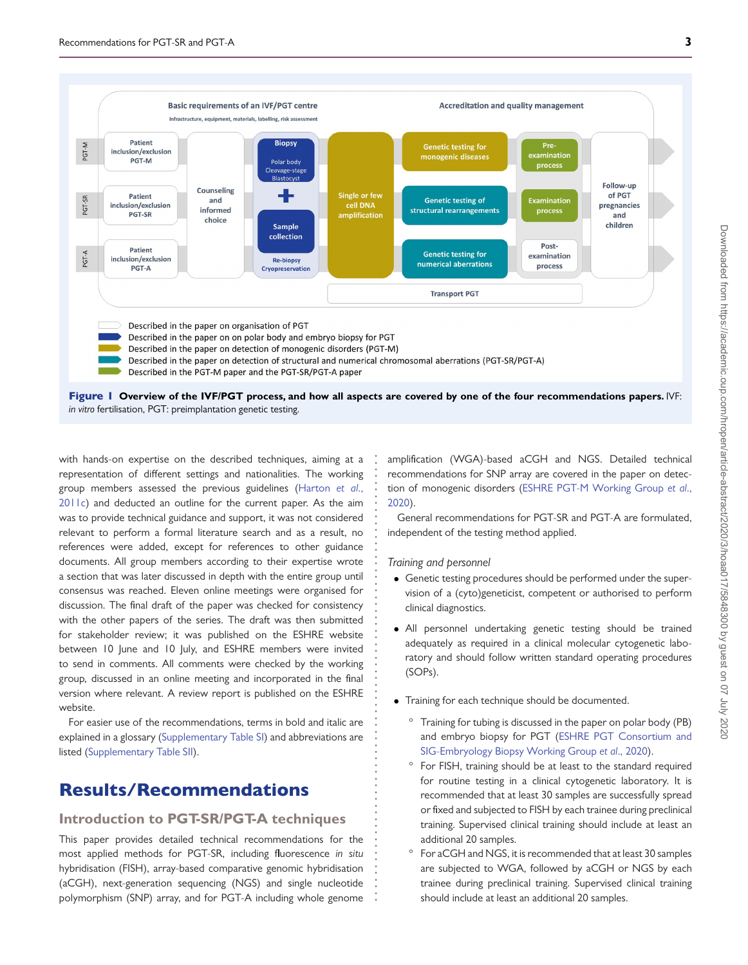

**. . . . . . . . . . . . . . . . . . . . . . . . . . . . . . . . . . . . . . . . . . . . . . . . . . . . . . . . . . . . . . . . . . .**

*in vitro* fertilisation, PGT: preimplantation genetic testing.

<span id="page-2-0"></span>with hands-on expertise on the described techniques, aiming at a representation of different settings and nationalities. The working group members assessed the previous guidelines (Harton *et al*., [2011c\) and deducted an outline for the current paper. As the aim](#page-19-7) was to provide technical guidance and support, it was not considered relevant to perform a formal literature search and as a result, no references were added, except for references to other guidance documents. All group members according to their expertise wrote a section that was later discussed in depth with the entire group until consensus was reached. Eleven online meetings were organised for discussion. The final draft of the paper was checked for consistency with the other papers of the series. The draft was then submitted for stakeholder review; it was published on the ESHRE website between 10 June and 10 July, and ESHRE members were invited to send in comments. All comments were checked by the working group, discussed in an online meeting and incorporated in the final version where relevant. A review report is published on the ESHRE website.

For easier use of the recommendations, terms in bold and italic are explained in a glossary [\(Supplementary Table SI\)](https://academic.oup.com/hropen/article-lookup/doi/10.1093/hropen/hoaa017#supplementary-data) and abbreviations are listed [\(Supplementary Table SII\)](https://academic.oup.com/hropen/article-lookup/doi/10.1093/hropen/hoaa017#supplementary-data).

# Results/Recommendations

# **Introduction to PGT-SR/PGT-A techniques**

This paper provides detailed technical recommendations for the most applied methods for PGT-SR, including fluorescence *in situ* hybridisation (FISH), array-based comparative genomic hybridisation (aCGH), next-generation sequencing (NGS) and single nucleotide polymorphism (SNP) array, and for PGT-A including whole genome

amplification (WGA)-based aCGH and NGS. Detailed technical recommendations for SNP array are covered in the paper on detec[tion of monogenic disorders \(ESHRE PGT-M Working Group](#page-19-10) *et al*., 2020).

General recommendations for PGT-SR and PGT-A are formulated, independent of the testing method applied.

*Training and personnel*

- Genetic testing procedures should be performed under the supervision of a (cyto)geneticist, competent or authorised to perform clinical diagnostics.
- All personnel undertaking genetic testing should be trained adequately as required in a clinical molecular cytogenetic laboratory and should follow written standard operating procedures (SOPs).
- Training for each technique should be documented.
	- Training for tubing is discussed in the paper on polar body (PB) [and embryo biopsy for PGT \(ESHRE PGT Consortium and](#page-19-11) SIG-Embryology Biopsy Working Group *et al*., 2020).
	- For FISH, training should be at least to the standard required for routine testing in a clinical cytogenetic laboratory. It is recommended that at least 30 samples are successfully spread or fixed and subjected to FISH by each trainee during preclinical training. Supervised clinical training should include at least an additional 20 samples.
	- For aCGH and NGS, it is recommended that at least 30 samples are subjected to WGA, followed by aCGH or NGS by each trainee during preclinical training. Supervised clinical training should include at least an additional 20 samples.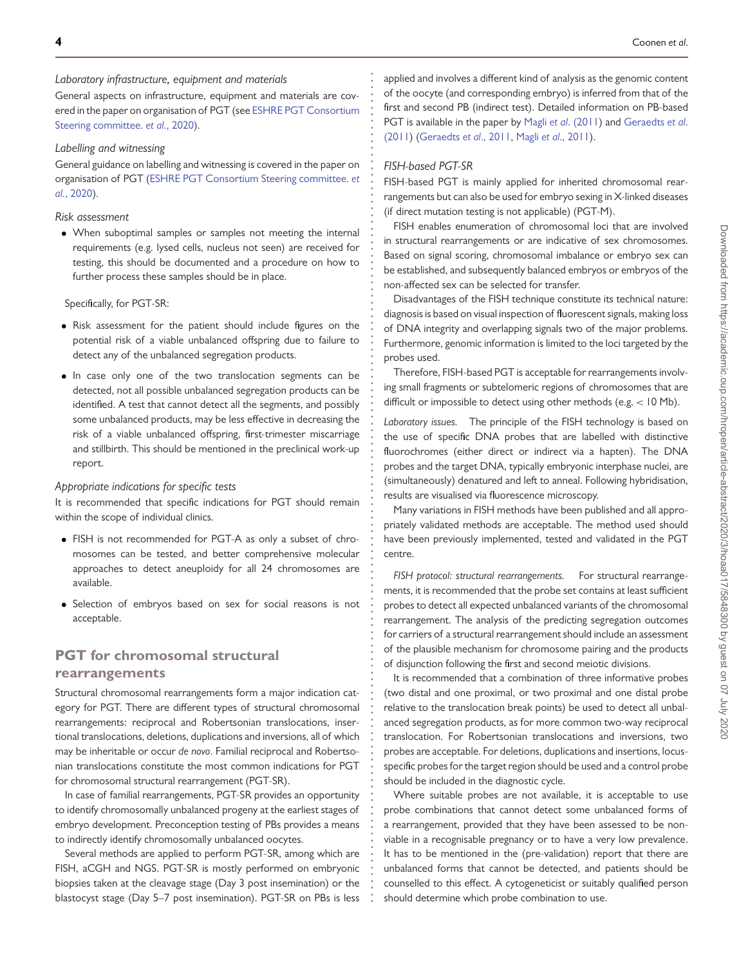**. . . . . . . . . . . . . . . . . . . . . . . . . . . . . . . . . . . . . . . . . . . . . . . . . . . . . . . . . . . . . . . . . . . . . . . . . . . . . . . . . . . . . . . . . . . . . . . . . . . . . . . . . . . . . . . . . . . . . . . . . . . .**

#### *Laboratory infrastructure, equipment and materials*

General aspects on infrastructure, equipment and materials are cov[ered in the paper on organisation of PGT \(see](#page-19-12) ESHRE PGT Consortium Steering committee. *et al.*, 2020).

# *Labelling and witnessing*

General guidance on labelling and witnessing is covered in the paper on [organisation of PGT \(ESHRE PGT Consortium Steering committee.](#page-19-12) *et al.*, 2020).

# *Risk assessment*

• When suboptimal samples or samples not meeting the internal requirements (e.g. lysed cells, nucleus not seen) are received for testing, this should be documented and a procedure on how to further process these samples should be in place.

Specifically, for PGT-SR:

- Risk assessment for the patient should include figures on the potential risk of a viable unbalanced offspring due to failure to detect any of the unbalanced segregation products.
- In case only one of the two translocation segments can be detected, not all possible unbalanced segregation products can be identified. A test that cannot detect all the segments, and possibly some unbalanced products, may be less effective in decreasing the risk of a viable unbalanced offspring, first-trimester miscarriage and stillbirth. This should be mentioned in the preclinical work-up report.

# *Appropriate indications for specific tests*

It is recommended that specific indications for PGT should remain within the scope of individual clinics.

- FISH is not recommended for PGT-A as only a subset of chromosomes can be tested, and better comprehensive molecular approaches to detect aneuploidy for all 24 chromosomes are available.
- Selection of embryos based on sex for social reasons is not acceptable.

# **PGT for chromosomal structural rearrangements**

Structural chromosomal rearrangements form a major indication category for PGT. There are different types of structural chromosomal rearrangements: reciprocal and Robertsonian translocations, insertional translocations, deletions, duplications and inversions, all of which may be inheritable or occur *de novo*. Familial reciprocal and Robertsonian translocations constitute the most common indications for PGT for chromosomal structural rearrangement (PGT-SR).

In case of familial rearrangements, PGT-SR provides an opportunity to identify chromosomally unbalanced progeny at the earliest stages of embryo development. Preconception testing of PBs provides a means to indirectly identify chromosomally unbalanced oocytes.

Several methods are applied to perform PGT-SR, among which are FISH, aCGH and NGS. PGT-SR is mostly performed on embryonic biopsies taken at the cleavage stage (Day 3 post insemination) or the blastocyst stage (Day 5–7 post insemination). PGT-SR on PBs is less applied and involves a different kind of analysis as the genomic content of the oocyte (and corresponding embryo) is inferred from that of the first and second PB (indirect test). Detailed information on PB-based [PGT is available in the paper by](#page-19-14) Magli *et al*[. \(2011\)](#page-19-13) and Geraedts *et al*. (2011) [\(Geraedts](#page-19-14) *et al*., 2011, Magli *et al*[., 2011\)](#page-19-13).

# *FISH-based PGT-SR*

FISH-based PGT is mainly applied for inherited chromosomal rearrangements but can also be used for embryo sexing in X-linked diseases (if direct mutation testing is not applicable) (PGT-M).

FISH enables enumeration of chromosomal loci that are involved in structural rearrangements or are indicative of sex chromosomes. Based on signal scoring, chromosomal imbalance or embryo sex can be established, and subsequently balanced embryos or embryos of the non-affected sex can be selected for transfer.

Disadvantages of the FISH technique constitute its technical nature: diagnosis is based on visual inspection of fluorescent signals, making loss of DNA integrity and overlapping signals two of the major problems. Furthermore, genomic information is limited to the loci targeted by the probes used.

Therefore, FISH-based PGT is acceptable for rearrangements involving small fragments or subtelomeric regions of chromosomes that are difficult or impossible to detect using other methods (e.g. *<* 10 Mb).

*Laboratory issues.* The principle of the FISH technology is based on the use of specific DNA probes that are labelled with distinctive fluorochromes (either direct or indirect via a hapten). The DNA probes and the target DNA, typically embryonic interphase nuclei, are (simultaneously) denatured and left to anneal. Following hybridisation, results are visualised via fluorescence microscopy.

Many variations in FISH methods have been published and all appropriately validated methods are acceptable. The method used should have been previously implemented, tested and validated in the PGT centre.

*FISH protocol: structural rearrangements.* For structural rearrangements, it is recommended that the probe set contains at least sufficient probes to detect all expected unbalanced variants of the chromosomal rearrangement. The analysis of the predicting segregation outcomes for carriers of a structural rearrangement should include an assessment of the plausible mechanism for chromosome pairing and the products of disjunction following the first and second meiotic divisions.

It is recommended that a combination of three informative probes (two distal and one proximal, or two proximal and one distal probe relative to the translocation break points) be used to detect all unbalanced segregation products, as for more common two-way reciprocal translocation. For Robertsonian translocations and inversions, two probes are acceptable. For deletions, duplications and insertions, locusspecific probes for the target region should be used and a control probe should be included in the diagnostic cycle.

Where suitable probes are not available, it is acceptable to use probe combinations that cannot detect some unbalanced forms of a rearrangement, provided that they have been assessed to be nonviable in a recognisable pregnancy or to have a very low prevalence. It has to be mentioned in the (pre-validation) report that there are unbalanced forms that cannot be detected, and patients should be counselled to this effect. A cytogeneticist or suitably qualified person should determine which probe combination to use.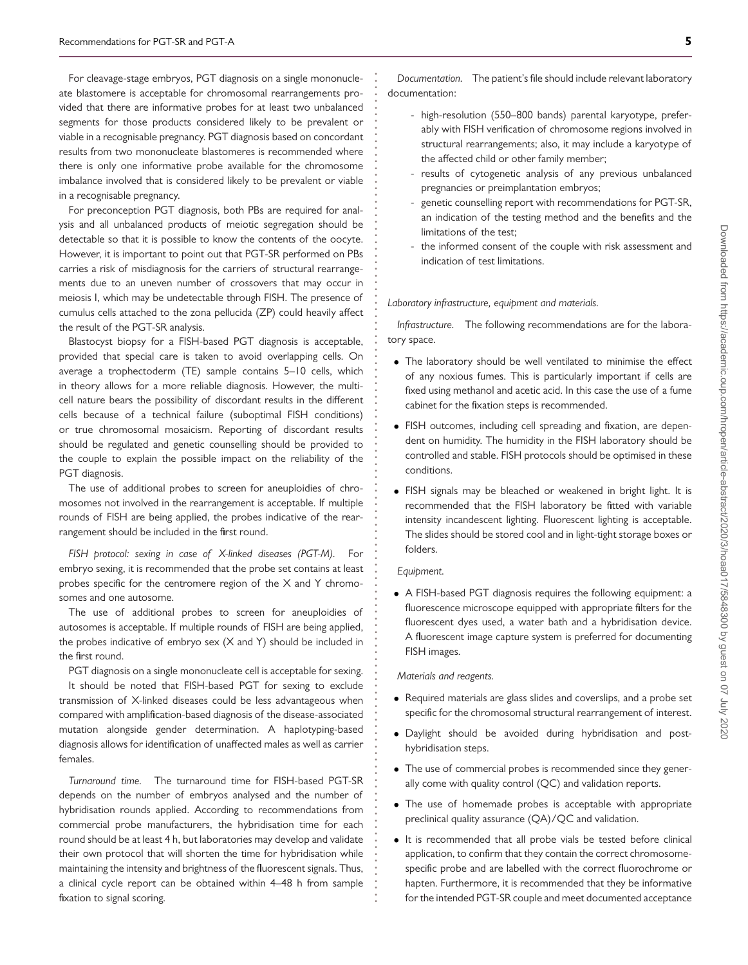For cleavage-stage embryos, PGT diagnosis on a single mononucleate blastomere is acceptable for chromosomal rearrangements provided that there are informative probes for at least two unbalanced segments for those products considered likely to be prevalent or viable in a recognisable pregnancy. PGT diagnosis based on concordant results from two mononucleate blastomeres is recommended where there is only one informative probe available for the chromosome imbalance involved that is considered likely to be prevalent or viable in a recognisable pregnancy.

For preconception PGT diagnosis, both PBs are required for analysis and all unbalanced products of meiotic segregation should be detectable so that it is possible to know the contents of the oocyte. However, it is important to point out that PGT-SR performed on PBs carries a risk of misdiagnosis for the carriers of structural rearrangements due to an uneven number of crossovers that may occur in meiosis I, which may be undetectable through FISH. The presence of cumulus cells attached to the zona pellucida (ZP) could heavily affect the result of the PGT-SR analysis.

Blastocyst biopsy for a FISH-based PGT diagnosis is acceptable, provided that special care is taken to avoid overlapping cells. On average a trophectoderm (TE) sample contains 5–10 cells, which in theory allows for a more reliable diagnosis. However, the multicell nature bears the possibility of discordant results in the different cells because of a technical failure (suboptimal FISH conditions) or true chromosomal mosaicism. Reporting of discordant results should be regulated and genetic counselling should be provided to the couple to explain the possible impact on the reliability of the PGT diagnosis.

The use of additional probes to screen for aneuploidies of chromosomes not involved in the rearrangement is acceptable. If multiple rounds of FISH are being applied, the probes indicative of the rearrangement should be included in the first round.

*FISH protocol: sexing in case of X-linked diseases (PGT-M).* For embryo sexing, it is recommended that the probe set contains at least probes specific for the centromere region of the X and Y chromosomes and one autosome.

The use of additional probes to screen for aneuploidies of autosomes is acceptable. If multiple rounds of FISH are being applied, the probes indicative of embryo sex (X and Y) should be included in the first round.

PGT diagnosis on a single mononucleate cell is acceptable for sexing. It should be noted that FISH-based PGT for sexing to exclude transmission of X-linked diseases could be less advantageous when compared with amplification-based diagnosis of the disease-associated mutation alongside gender determination. A haplotyping-based diagnosis allows for identification of unaffected males as well as carrier females.

*Turnaround time.* The turnaround time for FISH-based PGT-SR depends on the number of embryos analysed and the number of hybridisation rounds applied. According to recommendations from commercial probe manufacturers, the hybridisation time for each round should be at least 4 h, but laboratories may develop and validate their own protocol that will shorten the time for hybridisation while maintaining the intensity and brightness of the fluorescent signals. Thus, a clinical cycle report can be obtained within 4–48 h from sample fixation to signal scoring.

*Documentation.* The patient's file should include relevant laboratory documentation:

- high-resolution (550–800 bands) parental karyotype, preferably with FISH verification of chromosome regions involved in structural rearrangements; also, it may include a karyotype of the affected child or other family member;
- results of cytogenetic analysis of any previous unbalanced pregnancies or preimplantation embryos;
- genetic counselling report with recommendations for PGT-SR, an indication of the testing method and the benefits and the limitations of the test;
- the informed consent of the couple with risk assessment and indication of test limitations.

#### *Laboratory infrastructure, equipment and materials.*

*Infrastructure.* The following recommendations are for the laboratory space.

- The laboratory should be well ventilated to minimise the effect of any noxious fumes. This is particularly important if cells are fixed using methanol and acetic acid. In this case the use of a fume cabinet for the fixation steps is recommended.
- FISH outcomes, including cell spreading and fixation, are dependent on humidity. The humidity in the FISH laboratory should be controlled and stable. FISH protocols should be optimised in these conditions.
- FISH signals may be bleached or weakened in bright light. It is recommended that the FISH laboratory be fitted with variable intensity incandescent lighting. Fluorescent lighting is acceptable. The slides should be stored cool and in light-tight storage boxes or folders.

#### *Equipment.*

**. . . . . . . . . . . . . . . . . . . . . . . . . . . . . . . . . . . . . . . . . . . . . . . . . . . . . . . . . . . . . . . . . . . . . . . . . . . . . . . . . . . . . . . . . . . . . . . . . . . . . . . . . . . . . . . . . . . . . . . . . . . .**

• A FISH-based PGT diagnosis requires the following equipment: a fluorescence microscope equipped with appropriate filters for the fluorescent dyes used, a water bath and a hybridisation device. A fluorescent image capture system is preferred for documenting FISH images.

### *Materials and reagents.*

- Required materials are glass slides and coverslips, and a probe set specific for the chromosomal structural rearrangement of interest.
- Daylight should be avoided during hybridisation and posthybridisation steps.
- The use of commercial probes is recommended since they generally come with quality control (QC) and validation reports.
- The use of homemade probes is acceptable with appropriate preclinical quality assurance (QA)/QC and validation.
- It is recommended that all probe vials be tested before clinical application, to confirm that they contain the correct chromosomespecific probe and are labelled with the correct fluorochrome or hapten. Furthermore, it is recommended that they be informative for the intended PGT-SR couple and meet documented acceptance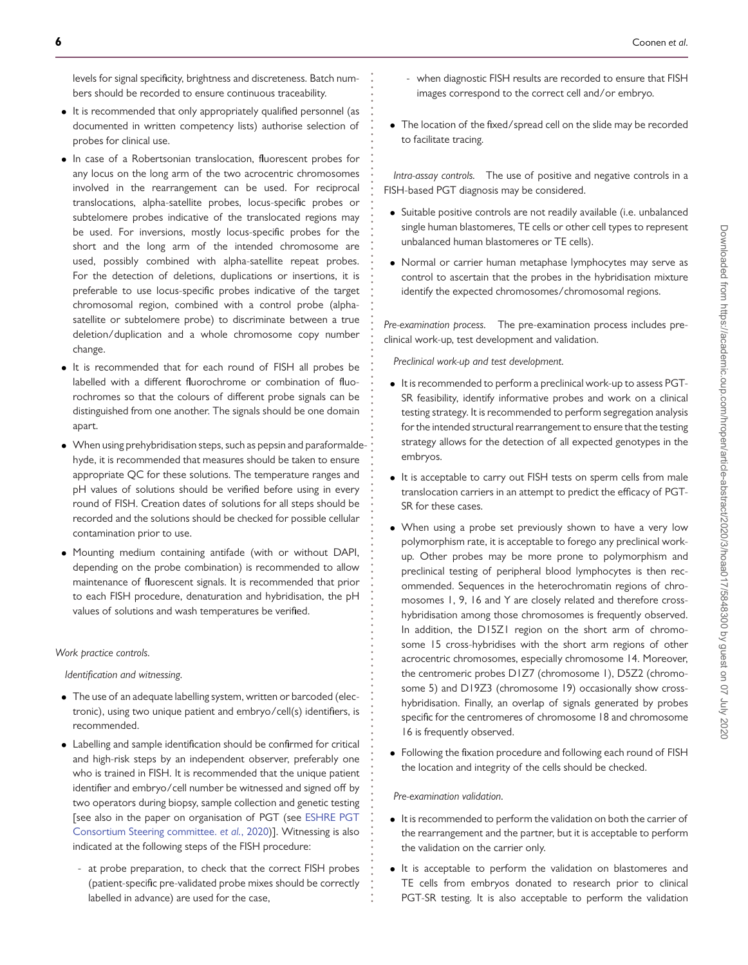levels for signal specificity, brightness and discreteness. Batch numbers should be recorded to ensure continuous traceability.

**. . . . . . . . . . . . . . . . . . . . . . . . . . . . . . . . . . . . . . . . . . . . . . . . . . . . . . . . . . . . . . . . . . . . . . . . . . . . . . . . . . . . . . . . . . . . . . . . . . . . . . . . . . . . . . . . . . . . . . . . . . . .**

- It is recommended that only appropriately qualified personnel (as documented in written competency lists) authorise selection of probes for clinical use.
- In case of a Robertsonian translocation, fluorescent probes for any locus on the long arm of the two acrocentric chromosomes involved in the rearrangement can be used. For reciprocal translocations, alpha-satellite probes, locus-specific probes or subtelomere probes indicative of the translocated regions may be used. For inversions, mostly locus-specific probes for the short and the long arm of the intended chromosome are used, possibly combined with alpha-satellite repeat probes. For the detection of deletions, duplications or insertions, it is preferable to use locus-specific probes indicative of the target chromosomal region, combined with a control probe (alphasatellite or subtelomere probe) to discriminate between a true deletion/duplication and a whole chromosome copy number change.
- It is recommended that for each round of FISH all probes be labelled with a different fluorochrome or combination of fluorochromes so that the colours of different probe signals can be distinguished from one another. The signals should be one domain apart.
- When using prehybridisation steps, such as pepsin and paraformaldehyde, it is recommended that measures should be taken to ensure appropriate QC for these solutions. The temperature ranges and pH values of solutions should be verified before using in every round of FISH. Creation dates of solutions for all steps should be recorded and the solutions should be checked for possible cellular contamination prior to use.
- Mounting medium containing antifade (with or without DAPI, depending on the probe combination) is recommended to allow maintenance of fluorescent signals. It is recommended that prior to each FISH procedure, denaturation and hybridisation, the pH values of solutions and wash temperatures be verified.

#### *Work practice controls.*

*Identification and witnessing.*

- The use of an adequate labelling system, written or barcoded (electronic), using two unique patient and embryo/cell(s) identifiers, is recommended.
- Labelling and sample identification should be confirmed for critical and high-risk steps by an independent observer, preferably one who is trained in FISH. It is recommended that the unique patient identifier and embryo/cell number be witnessed and signed off by two operators during biopsy, sample collection and genetic testing [\[see also in the paper on organisation of PGT \(see](#page-19-12) ESHRE PGT Consortium Steering committee. *et al.*, 2020)]. Witnessing is also indicated at the following steps of the FISH procedure:
	- at probe preparation, to check that the correct FISH probes (patient-specific pre-validated probe mixes should be correctly labelled in advance) are used for the case,
- when diagnostic FISH results are recorded to ensure that FISH images correspond to the correct cell and/or embryo.
- The location of the fixed/spread cell on the slide may be recorded to facilitate tracing.

*Intra-assay controls.* The use of positive and negative controls in a FISH-based PGT diagnosis may be considered.

- Suitable positive controls are not readily available (i.e. unbalanced single human blastomeres, TE cells or other cell types to represent unbalanced human blastomeres or TE cells).
- Normal or carrier human metaphase lymphocytes may serve as control to ascertain that the probes in the hybridisation mixture identify the expected chromosomes/chromosomal regions.

*Pre-examination process.* The pre-examination process includes preclinical work-up, test development and validation.

*Preclinical work-up and test development.*

- It is recommended to perform a preclinical work-up to assess PGT-SR feasibility, identify informative probes and work on a clinical testing strategy. It is recommended to perform segregation analysis for the intended structural rearrangement to ensure that the testing strategy allows for the detection of all expected genotypes in the embryos.
- It is acceptable to carry out FISH tests on sperm cells from male translocation carriers in an attempt to predict the efficacy of PGT-SR for these cases.
- When using a probe set previously shown to have a very low polymorphism rate, it is acceptable to forego any preclinical workup. Other probes may be more prone to polymorphism and preclinical testing of peripheral blood lymphocytes is then recommended. Sequences in the heterochromatin regions of chromosomes 1, 9, 16 and Y are closely related and therefore crosshybridisation among those chromosomes is frequently observed. In addition, the D15Z1 region on the short arm of chromosome 15 cross-hybridises with the short arm regions of other acrocentric chromosomes, especially chromosome 14. Moreover, the centromeric probes D1Z7 (chromosome 1), D5Z2 (chromosome 5) and D19Z3 (chromosome 19) occasionally show crosshybridisation. Finally, an overlap of signals generated by probes specific for the centromeres of chromosome 18 and chromosome 16 is frequently observed.
- Following the fixation procedure and following each round of FISH the location and integrity of the cells should be checked.

#### *Pre-examination validation.*

- It is recommended to perform the validation on both the carrier of the rearrangement and the partner, but it is acceptable to perform the validation on the carrier only.
- It is acceptable to perform the validation on blastomeres and TE cells from embryos donated to research prior to clinical PGT-SR testing. It is also acceptable to perform the validation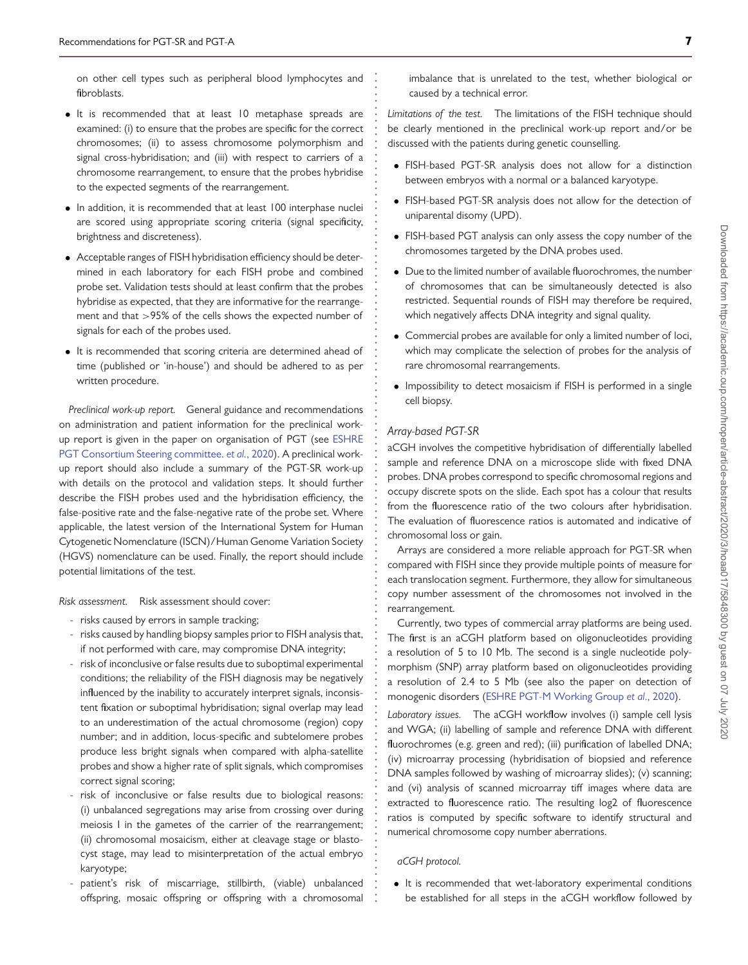on other cell types such as peripheral blood lymphocytes and fibroblasts.

- It is recommended that at least 10 metaphase spreads are examined: (i) to ensure that the probes are specific for the correct chromosomes; (ii) to assess chromosome polymorphism and signal cross-hybridisation; and (iii) with respect to carriers of a chromosome rearrangement, to ensure that the probes hybridise to the expected segments of the rearrangement.
- In addition, it is recommended that at least 100 interphase nuclei are scored using appropriate scoring criteria (signal specificity, brightness and discreteness).
- Acceptable ranges of FISH hybridisation efficiency should be determined in each laboratory for each FISH probe and combined probe set. Validation tests should at least confirm that the probes hybridise as expected, that they are informative for the rearrangement and that *>*95% of the cells shows the expected number of signals for each of the probes used.
- It is recommended that scoring criteria are determined ahead of time (published or 'in-house') and should be adhered to as per written procedure.

*Preclinical work-up report.* General guidance and recommendations on administration and patient information for the preclinical work[up report is given in the paper on organisation of PGT \(see](#page-19-12) ESHRE PGT Consortium Steering committee. *et al.*, 2020). A preclinical workup report should also include a summary of the PGT-SR work-up with details on the protocol and validation steps. It should further describe the FISH probes used and the hybridisation efficiency, the false-positive rate and the false-negative rate of the probe set. Where applicable, the latest version of the International System for Human Cytogenetic Nomenclature (ISCN)/Human Genome Variation Society (HGVS) nomenclature can be used. Finally, the report should include potential limitations of the test.

*Risk assessment.* Risk assessment should cover:

- risks caused by errors in sample tracking;
- risks caused by handling biopsy samples prior to FISH analysis that, if not performed with care, may compromise DNA integrity;
- risk of inconclusive or false results due to suboptimal experimental conditions; the reliability of the FISH diagnosis may be negatively influenced by the inability to accurately interpret signals, inconsistent fixation or suboptimal hybridisation; signal overlap may lead to an underestimation of the actual chromosome (region) copy number; and in addition, locus-specific and subtelomere probes produce less bright signals when compared with alpha-satellite probes and show a higher rate of split signals, which compromises correct signal scoring;
- risk of inconclusive or false results due to biological reasons: (i) unbalanced segregations may arise from crossing over during meiosis I in the gametes of the carrier of the rearrangement; (ii) chromosomal mosaicism, either at cleavage stage or blastocyst stage, may lead to misinterpretation of the actual embryo karyotype;
- patient's risk of miscarriage, stillbirth, (viable) unbalanced offspring, mosaic offspring or offspring with a chromosomal

imbalance that is unrelated to the test, whether biological or caused by a technical error.

*Limitations of the test.* The limitations of the FISH technique should be clearly mentioned in the preclinical work-up report and/or be discussed with the patients during genetic counselling.

- FISH-based PGT-SR analysis does not allow for a distinction between embryos with a normal or a balanced karyotype.
- FISH-based PGT-SR analysis does not allow for the detection of uniparental disomy (UPD).
- FISH-based PGT analysis can only assess the copy number of the chromosomes targeted by the DNA probes used.
- Due to the limited number of available fluorochromes, the number of chromosomes that can be simultaneously detected is also restricted. Sequential rounds of FISH may therefore be required, which negatively affects DNA integrity and signal quality.
- Commercial probes are available for only a limited number of loci, which may complicate the selection of probes for the analysis of rare chromosomal rearrangements.
- Impossibility to detect mosaicism if FISH is performed in a single cell biopsy.

### <span id="page-6-0"></span>*Array-based PGT-SR*

**. . . . . . . . . . . . . . . . . . . . . . . . . . . . . . . . . . . . . . . . . . . . . . . . . . . . . . . . . . . . . . . . . . . . . . . . . . . . . . . . . . . . . . . . . . . . . . . . . . . . . . . . . . . . . . . . . . . . . . . . . . . .**

aCGH involves the competitive hybridisation of differentially labelled sample and reference DNA on a microscope slide with fixed DNA probes. DNA probes correspond to specific chromosomal regions and occupy discrete spots on the slide. Each spot has a colour that results from the fluorescence ratio of the two colours after hybridisation. The evaluation of fluorescence ratios is automated and indicative of chromosomal loss or gain.

Arrays are considered a more reliable approach for PGT-SR when compared with FISH since they provide multiple points of measure for each translocation segment. Furthermore, they allow for simultaneous copy number assessment of the chromosomes not involved in the rearrangement.

Currently, two types of commercial array platforms are being used. The first is an aCGH platform based on oligonucleotides providing a resolution of 5 to 10 Mb. The second is a single nucleotide polymorphism (SNP) array platform based on oligonucleotides providing a resolution of 2.4 to 5 Mb (see also the paper on detection of monogenic disorders [\(ESHRE PGT-M Working Group](#page-19-10) *et al*., 2020).

*Laboratory issues.* The aCGH workflow involves (i) sample cell lysis and WGA; (ii) labelling of sample and reference DNA with different fluorochromes (e.g. green and red); (iii) purification of labelled DNA; (iv) microarray processing (hybridisation of biopsied and reference DNA samples followed by washing of microarray slides); (v) scanning; and (vi) analysis of scanned microarray tiff images where data are extracted to fluorescence ratio. The resulting log2 of fluorescence ratios is computed by specific software to identify structural and numerical chromosome copy number aberrations.

#### *aCGH protocol.*

• It is recommended that wet-laboratory experimental conditions be established for all steps in the aCGH workflow followed by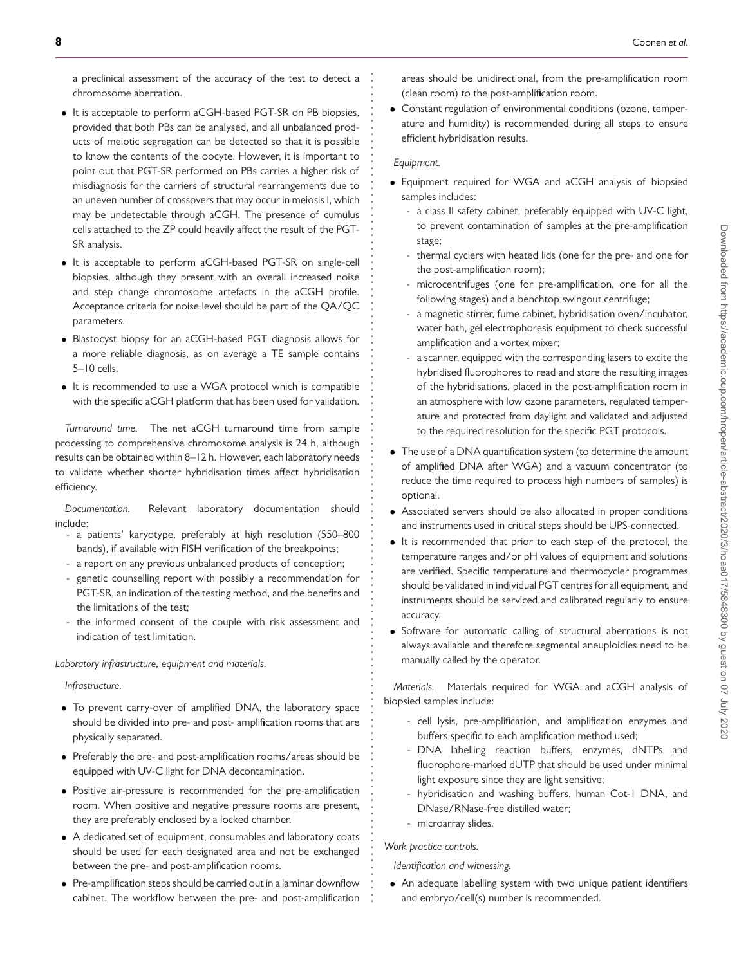a preclinical assessment of the accuracy of the test to detect a chromosome aberration.

- It is acceptable to perform aCGH-based PGT-SR on PB biopsies, provided that both PBs can be analysed, and all unbalanced products of meiotic segregation can be detected so that it is possible to know the contents of the oocyte. However, it is important to point out that PGT-SR performed on PBs carries a higher risk of misdiagnosis for the carriers of structural rearrangements due to an uneven number of crossovers that may occur in meiosis I, which may be undetectable through aCGH. The presence of cumulus cells attached to the ZP could heavily affect the result of the PGT-SR analysis.
- It is acceptable to perform aCGH-based PGT-SR on single-cell biopsies, although they present with an overall increased noise and step change chromosome artefacts in the aCGH profile. Acceptance criteria for noise level should be part of the QA/QC parameters.
- Blastocyst biopsy for an aCGH-based PGT diagnosis allows for a more reliable diagnosis, as on average a TE sample contains 5–10 cells.
- It is recommended to use a WGA protocol which is compatible with the specific aCGH platform that has been used for validation.

*Turnaround time.* The net aCGH turnaround time from sample processing to comprehensive chromosome analysis is 24 h, although results can be obtained within 8–12 h. However, each laboratory needs to validate whether shorter hybridisation times affect hybridisation efficiency.

*Documentation.* Relevant laboratory documentation should include:

- a patients' karyotype, preferably at high resolution (550–800 bands), if available with FISH verification of the breakpoints;
- a report on any previous unbalanced products of conception;
- genetic counselling report with possibly a recommendation for PGT-SR, an indication of the testing method, and the benefits and the limitations of the test;
- the informed consent of the couple with risk assessment and indication of test limitation.

*Laboratory infrastructure, equipment and materials.*

#### *Infrastructure.*

- To prevent carry-over of amplified DNA, the laboratory space should be divided into pre- and post- amplification rooms that are physically separated.
- Preferably the pre- and post-amplification rooms/areas should be equipped with UV-C light for DNA decontamination.
- Positive air-pressure is recommended for the pre-amplification room. When positive and negative pressure rooms are present, they are preferably enclosed by a locked chamber.
- A dedicated set of equipment, consumables and laboratory coats should be used for each designated area and not be exchanged between the pre- and post-amplification rooms.
- Pre-amplification steps should be carried out in a laminar downflow cabinet. The workflow between the pre- and post-amplification

areas should be unidirectional, from the pre-amplification room (clean room) to the post-amplification room.

• Constant regulation of environmental conditions (ozone, temperature and humidity) is recommended during all steps to ensure efficient hybridisation results.

# *Equipment.*

**. . . . . . . . . . . . . . . . . . . . . . . . . . . . . . . . . . . . . . . . . . . . . . . . . . . . . . . . . . . . . . . . . . . . . . . . . . . . . . . . . . . . . . . . . . . . . . . . . . . . . . . . . . . . . . . . . . . . . . . . . . . .**

- Equipment required for WGA and aCGH analysis of biopsied samples includes:
	- a class II safety cabinet, preferably equipped with UV-C light, to prevent contamination of samples at the pre-amplification stage;
	- thermal cyclers with heated lids (one for the pre- and one for the post-amplification room);
	- microcentrifuges (one for pre-amplification, one for all the following stages) and a benchtop swingout centrifuge;
	- a magnetic stirrer, fume cabinet, hybridisation oven/incubator, water bath, gel electrophoresis equipment to check successful amplification and a vortex mixer;
	- a scanner, equipped with the corresponding lasers to excite the hybridised fluorophores to read and store the resulting images of the hybridisations, placed in the post-amplification room in an atmosphere with low ozone parameters, regulated temperature and protected from daylight and validated and adjusted to the required resolution for the specific PGT protocols.
- The use of a DNA quantification system (to determine the amount of amplified DNA after WGA) and a vacuum concentrator (to reduce the time required to process high numbers of samples) is optional.
- Associated servers should be also allocated in proper conditions and instruments used in critical steps should be UPS-connected.
- It is recommended that prior to each step of the protocol, the temperature ranges and/or pH values of equipment and solutions are verified. Specific temperature and thermocycler programmes should be validated in individual PGT centres for all equipment, and instruments should be serviced and calibrated regularly to ensure accuracy.
- Software for automatic calling of structural aberrations is not always available and therefore segmental aneuploidies need to be manually called by the operator.

*Materials.* Materials required for WGA and aCGH analysis of biopsied samples include:

- cell lysis, pre-amplification, and amplification enzymes and buffers specific to each amplification method used;
- DNA labelling reaction buffers, enzymes, dNTPs and fluorophore-marked dUTP that should be used under minimal light exposure since they are light sensitive;
- hybridisation and washing buffers, human Cot-1 DNA, and DNase/RNase-free distilled water;
- microarray slides.

# *Work practice controls.*

*Identification and witnessing.*

• An adequate labelling system with two unique patient identifiers and embryo/cell(s) number is recommended.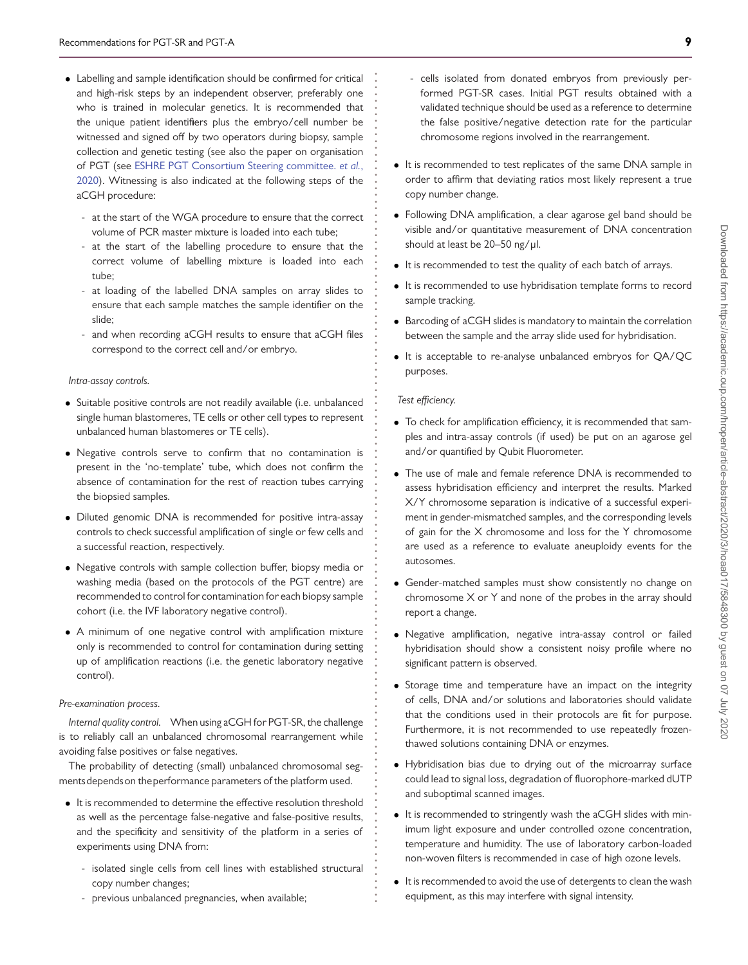- Labelling and sample identification should be confirmed for critical and high-risk steps by an independent observer, preferably one who is trained in molecular genetics. It is recommended that the unique patient identifiers plus the embryo/cell number be witnessed and signed off by two operators during biopsy, sample collection and genetic testing (see also the paper on organisation of PGT (see ESHRE PGT Consortium Steering committee. *et al.*, [2020\). Witnessing is also indicated at the following steps of the](#page-19-12) aCGH procedure:
	- at the start of the WGA procedure to ensure that the correct volume of PCR master mixture is loaded into each tube;
	- at the start of the labelling procedure to ensure that the correct volume of labelling mixture is loaded into each tube;
	- at loading of the labelled DNA samples on array slides to ensure that each sample matches the sample identifier on the slide;
	- and when recording aCGH results to ensure that aCGH files correspond to the correct cell and/or embryo.

#### *Intra-assay controls.*

- Suitable positive controls are not readily available (i.e. unbalanced single human blastomeres, TE cells or other cell types to represent unbalanced human blastomeres or TE cells).
- Negative controls serve to confirm that no contamination is present in the 'no-template' tube, which does not confirm the absence of contamination for the rest of reaction tubes carrying the biopsied samples.
- Diluted genomic DNA is recommended for positive intra-assay controls to check successful amplification of single or few cells and a successful reaction, respectively.
- Negative controls with sample collection buffer, biopsy media or washing media (based on the protocols of the PGT centre) are recommended to control for contamination for each biopsy sample cohort (i.e. the IVF laboratory negative control).
- A minimum of one negative control with amplification mixture only is recommended to control for contamination during setting up of amplification reactions (i.e. the genetic laboratory negative control).

#### *Pre-examination process.*

*Internal quality control.* When using aCGH for PGT-SR, the challenge is to reliably call an unbalanced chromosomal rearrangement while avoiding false positives or false negatives.

The probability of detecting (small) unbalanced chromosomal segmentsdependson theperformance parameters of the platform used.

- It is recommended to determine the effective resolution threshold as well as the percentage false-negative and false-positive results, and the specificity and sensitivity of the platform in a series of experiments using DNA from:
	- isolated single cells from cell lines with established structural copy number changes;
	- previous unbalanced pregnancies, when available;
- cells isolated from donated embryos from previously performed PGT-SR cases. Initial PGT results obtained with a validated technique should be used as a reference to determine the false positive/negative detection rate for the particular chromosome regions involved in the rearrangement.
- It is recommended to test replicates of the same DNA sample in order to affirm that deviating ratios most likely represent a true copy number change.
- Following DNA amplification, a clear agarose gel band should be visible and/or quantitative measurement of DNA concentration should at least be 20-50 ng/μl.
- It is recommended to test the quality of each batch of arrays.
- It is recommended to use hybridisation template forms to record sample tracking.
- Barcoding of aCGH slides is mandatory to maintain the correlation between the sample and the array slide used for hybridisation.
- It is acceptable to re-analyse unbalanced embryos for QA/QC purposes.

#### *Test efficiency.*

**. . . . . . . . . . . . . . . . . . . . . . . . . . . . . . . . . . . . . . . . . . . . . . . . . . . . . . . . . . . . . . . . . . . . . . . . . . . . . . . . . . . . . . . . . . . . . . . . . . . . . . . . . . . . . . . . . . . . . . . . . . . .**

- To check for amplification efficiency, it is recommended that samples and intra-assay controls (if used) be put on an agarose gel and/or quantified by Qubit Fluorometer.
- The use of male and female reference DNA is recommended to assess hybridisation efficiency and interpret the results. Marked X/Y chromosome separation is indicative of a successful experiment in gender-mismatched samples, and the corresponding levels of gain for the X chromosome and loss for the Y chromosome are used as a reference to evaluate aneuploidy events for the autosomes.
- Gender-matched samples must show consistently no change on chromosome X or Y and none of the probes in the array should report a change.
- Negative amplification, negative intra-assay control or failed hybridisation should show a consistent noisy profile where no significant pattern is observed.
- Storage time and temperature have an impact on the integrity of cells, DNA and/or solutions and laboratories should validate that the conditions used in their protocols are fit for purpose. Furthermore, it is not recommended to use repeatedly frozenthawed solutions containing DNA or enzymes.
- Hybridisation bias due to drying out of the microarray surface could lead to signal loss, degradation of fluorophore-marked dUTP and suboptimal scanned images.
- It is recommended to stringently wash the aCGH slides with minimum light exposure and under controlled ozone concentration, temperature and humidity. The use of laboratory carbon-loaded non-woven filters is recommended in case of high ozone levels.
- It is recommended to avoid the use of detergents to clean the wash equipment, as this may interfere with signal intensity.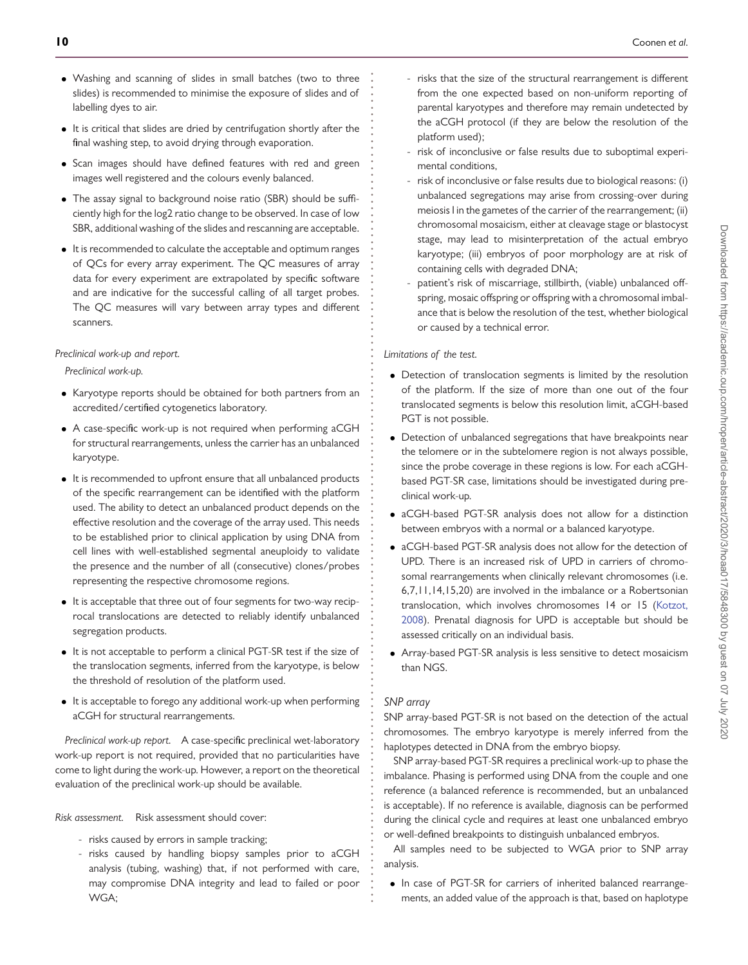- Washing and scanning of slides in small batches (two to three slides) is recommended to minimise the exposure of slides and of labelling dyes to air.
- It is critical that slides are dried by centrifugation shortly after the final washing step, to avoid drying through evaporation.
- Scan images should have defined features with red and green images well registered and the colours evenly balanced.
- The assay signal to background noise ratio (SBR) should be sufficiently high for the log2 ratio change to be observed. In case of low SBR, additional washing of the slides and rescanning are acceptable.
- It is recommended to calculate the acceptable and optimum ranges of QCs for every array experiment. The QC measures of array data for every experiment are extrapolated by specific software and are indicative for the successful calling of all target probes. The QC measures will vary between array types and different scanners.

### *Preclinical work-up and report.*

*Preclinical work-up.*

- Karyotype reports should be obtained for both partners from an accredited/certified cytogenetics laboratory.
- A case-specific work-up is not required when performing aCGH for structural rearrangements, unless the carrier has an unbalanced karyotype.
- It is recommended to upfront ensure that all unbalanced products of the specific rearrangement can be identified with the platform used. The ability to detect an unbalanced product depends on the effective resolution and the coverage of the array used. This needs to be established prior to clinical application by using DNA from cell lines with well-established segmental aneuploidy to validate the presence and the number of all (consecutive) clones/probes representing the respective chromosome regions.
- It is acceptable that three out of four segments for two-way reciprocal translocations are detected to reliably identify unbalanced segregation products.
- It is not acceptable to perform a clinical PGT-SR test if the size of the translocation segments, inferred from the karyotype, is below the threshold of resolution of the platform used.
- It is acceptable to forego any additional work-up when performing aCGH for structural rearrangements.

*Preclinical work-up report.* A case-specific preclinical wet-laboratory work-up report is not required, provided that no particularities have come to light during the work-up. However, a report on the theoretical evaluation of the preclinical work-up should be available.

*Risk assessment.* Risk assessment should cover:

- risks caused by errors in sample tracking;
- risks caused by handling biopsy samples prior to aCGH analysis (tubing, washing) that, if not performed with care, may compromise DNA integrity and lead to failed or poor WGA;
- risks that the size of the structural rearrangement is different from the one expected based on non-uniform reporting of parental karyotypes and therefore may remain undetected by the aCGH protocol (if they are below the resolution of the platform used);
- risk of inconclusive or false results due to suboptimal experimental conditions,
- risk of inconclusive or false results due to biological reasons: (i) unbalanced segregations may arise from crossing-over during meiosis I in the gametes of the carrier of the rearrangement; (ii) chromosomal mosaicism, either at cleavage stage or blastocyst stage, may lead to misinterpretation of the actual embryo karyotype; (iii) embryos of poor morphology are at risk of containing cells with degraded DNA;
- patient's risk of miscarriage, stillbirth, (viable) unbalanced offspring, mosaic offspring or offspring with a chromosomal imbalance that is below the resolution of the test, whether biological or caused by a technical error.

*Limitations of the test.*

**. . . . . . . . . . . . . . . . . . . . . . . . . . . . . . . . . . . . . . . . . . . . . . . . . . . . . . . . . . . . . . . . . . . . . . . . . . . . . . . . . . . . . . . . . . . . . . . . . . . . . . . . . . . . . . . . . . . . . . . . . . . .**

- Detection of translocation segments is limited by the resolution of the platform. If the size of more than one out of the four translocated segments is below this resolution limit, aCGH-based PGT is not possible.
- Detection of unbalanced segregations that have breakpoints near the telomere or in the subtelomere region is not always possible, since the probe coverage in these regions is low. For each aCGHbased PGT-SR case, limitations should be investigated during preclinical work-up.
- aCGH-based PGT-SR analysis does not allow for a distinction between embryos with a normal or a balanced karyotype.
- aCGH-based PGT-SR analysis does not allow for the detection of UPD. There is an increased risk of UPD in carriers of chromosomal rearrangements when clinically relevant chromosomes (i.e. 6,7,11,14,15,20) are involved in the imbalance or a Robertsonian [translocation, which involves chromosomes 14 or 15 \(Kotzot,](#page-19-15) 2008). Prenatal diagnosis for UPD is acceptable but should be assessed critically on an individual basis.
- Array-based PGT-SR analysis is less sensitive to detect mosaicism than NGS.

### *SNP array*

SNP array-based PGT-SR is not based on the detection of the actual chromosomes. The embryo karyotype is merely inferred from the haplotypes detected in DNA from the embryo biopsy.

SNP array-based PGT-SR requires a preclinical work-up to phase the imbalance. Phasing is performed using DNA from the couple and one reference (a balanced reference is recommended, but an unbalanced is acceptable). If no reference is available, diagnosis can be performed during the clinical cycle and requires at least one unbalanced embryo or well-defined breakpoints to distinguish unbalanced embryos.

All samples need to be subjected to WGA prior to SNP array analysis.

• In case of PGT-SR for carriers of inherited balanced rearrangements, an added value of the approach is that, based on haplotype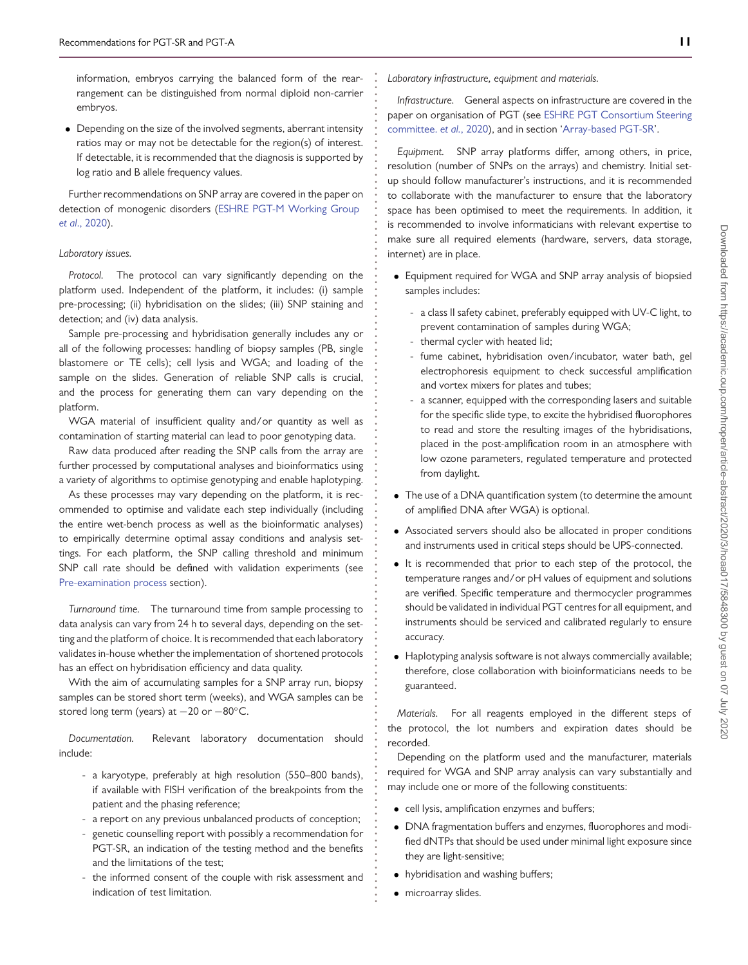information, embryos carrying the balanced form of the rearrangement can be distinguished from normal diploid non-carrier embryos.

• Depending on the size of the involved segments, aberrant intensity ratios may or may not be detectable for the region(s) of interest. If detectable, it is recommended that the diagnosis is supported by log ratio and B allele frequency values.

Further recommendations on SNP array are covered in the paper on [detection of monogenic disorders \(ESHRE PGT-M Working Group](#page-19-10) *et al*., 2020).

#### *Laboratory issues.*

*Protocol.* The protocol can vary significantly depending on the platform used. Independent of the platform, it includes: (i) sample pre-processing; (ii) hybridisation on the slides; (iii) SNP staining and detection; and (iv) data analysis.

Sample pre-processing and hybridisation generally includes any or all of the following processes: handling of biopsy samples (PB, single blastomere or TE cells); cell lysis and WGA; and loading of the sample on the slides. Generation of reliable SNP calls is crucial, and the process for generating them can vary depending on the platform.

WGA material of insufficient quality and/or quantity as well as contamination of starting material can lead to poor genotyping data.

Raw data produced after reading the SNP calls from the array are further processed by computational analyses and bioinformatics using a variety of algorithms to optimise genotyping and enable haplotyping.

As these processes may vary depending on the platform, it is recommended to optimise and validate each step individually (including the entire wet-bench process as well as the bioinformatic analyses) to empirically determine optimal assay conditions and analysis settings. For each platform, the SNP calling threshold and minimum SNP call rate should be defined with validation experiments (see [Pre-examination process](#page-11-0) section).

*Turnaround time.* The turnaround time from sample processing to data analysis can vary from 24 h to several days, depending on the setting and the platform of choice. It is recommended that each laboratory validates in-house whether the implementation of shortened protocols has an effect on hybridisation efficiency and data quality.

With the aim of accumulating samples for a SNP array run, biopsy samples can be stored short term (weeks), and WGA samples can be stored long term (years) at -20 or -80°C.

*Documentation.* Relevant laboratory documentation should include:

- a karyotype, preferably at high resolution (550–800 bands), if available with FISH verification of the breakpoints from the patient and the phasing reference;
- a report on any previous unbalanced products of conception;
- genetic counselling report with possibly a recommendation for PGT-SR, an indication of the testing method and the benefits and the limitations of the test;
- the informed consent of the couple with risk assessment and indication of test limitation.

*Laboratory infrastructure, equipment and materials.*

**. . . . . . . . . . . . . . . . . . . . . . . . . . . . . . . . . . . . . . . . . . . . . . . . . . . . . . . . . . . . . . . . . . . . . . . . . . . . . . . . . . . . . . . . . . . . . . . . . . . . . . . . . . . . . . . . . . . . . . . . . . . .**

*Infrastructure.* General aspects on infrastructure are covered in the paper on organisation of PGT (see ESHRE PGT Consortium Steering committee. *et al.*[, 2020\), and in section 'Array-based PGT-SR'.](#page-19-12)

*Equipment.* SNP array platforms differ, among others, in price, resolution (number of SNPs on the arrays) and chemistry. Initial setup should follow manufacturer's instructions, and it is recommended to collaborate with the manufacturer to ensure that the laboratory space has been optimised to meet the requirements. In addition, it is recommended to involve informaticians with relevant expertise to make sure all required elements (hardware, servers, data storage, internet) are in place.

- Equipment required for WGA and SNP array analysis of biopsied samples includes:
	- a class II safety cabinet, preferably equipped with UV-C light, to prevent contamination of samples during WGA;
	- thermal cycler with heated lid;
	- fume cabinet, hybridisation oven/incubator, water bath, gel electrophoresis equipment to check successful amplification and vortex mixers for plates and tubes;
	- a scanner, equipped with the corresponding lasers and suitable for the specific slide type, to excite the hybridised fluorophores to read and store the resulting images of the hybridisations, placed in the post-amplification room in an atmosphere with low ozone parameters, regulated temperature and protected from daylight.
- The use of a DNA quantification system (to determine the amount of amplified DNA after WGA) is optional.
- Associated servers should also be allocated in proper conditions and instruments used in critical steps should be UPS-connected.
- It is recommended that prior to each step of the protocol, the temperature ranges and/or pH values of equipment and solutions are verified. Specific temperature and thermocycler programmes should be validated in individual PGT centres for all equipment, and instruments should be serviced and calibrated regularly to ensure accuracy.
- Haplotyping analysis software is not always commercially available; therefore, close collaboration with bioinformaticians needs to be guaranteed.

*Materials.* For all reagents employed in the different steps of the protocol, the lot numbers and expiration dates should be recorded.

Depending on the platform used and the manufacturer, materials required for WGA and SNP array analysis can vary substantially and may include one or more of the following constituents:

- cell lysis, amplification enzymes and buffers;
- DNA fragmentation buffers and enzymes, fluorophores and modified dNTPs that should be used under minimal light exposure since they are light-sensitive;
- hybridisation and washing buffers;
- microarray slides.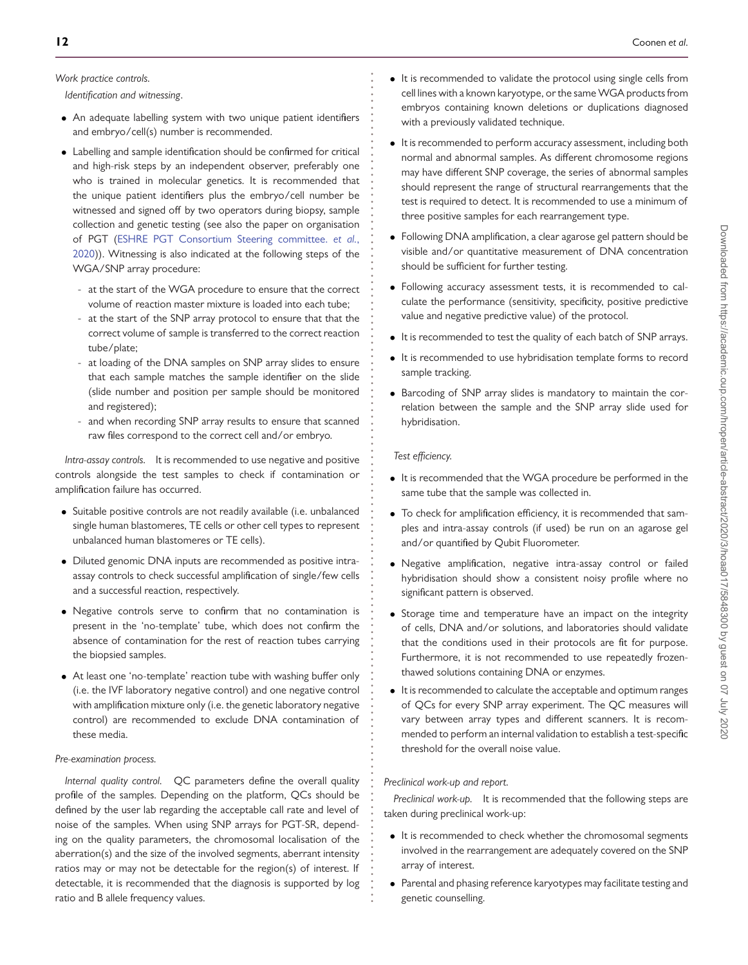# *Work practice controls.*

*Identification and witnessing*.

- An adequate labelling system with two unique patient identifiers and embryo/cell(s) number is recommended.
- Labelling and sample identification should be confirmed for critical and high-risk steps by an independent observer, preferably one who is trained in molecular genetics. It is recommended that the unique patient identifiers plus the embryo/cell number be witnessed and signed off by two operators during biopsy, sample collection and genetic testing (see also the paper on organisation of PGT (ESHRE PGT Consortium Steering committee. *et al.*, [2020\)\). Witnessing is also indicated at the following steps of the](#page-19-12) WGA/SNP array procedure:
	- at the start of the WGA procedure to ensure that the correct volume of reaction master mixture is loaded into each tube;
	- at the start of the SNP array protocol to ensure that that the correct volume of sample is transferred to the correct reaction tube/plate;
	- at loading of the DNA samples on SNP array slides to ensure that each sample matches the sample identifier on the slide (slide number and position per sample should be monitored and registered);
	- and when recording SNP array results to ensure that scanned raw files correspond to the correct cell and/or embryo.

*Intra-assay controls.* It is recommended to use negative and positive controls alongside the test samples to check if contamination or amplification failure has occurred.

- Suitable positive controls are not readily available (i.e. unbalanced single human blastomeres, TE cells or other cell types to represent unbalanced human blastomeres or TE cells).
- Diluted genomic DNA inputs are recommended as positive intraassay controls to check successful amplification of single/few cells and a successful reaction, respectively.
- Negative controls serve to confirm that no contamination is present in the 'no-template' tube, which does not confirm the absence of contamination for the rest of reaction tubes carrying the biopsied samples.
- At least one 'no-template' reaction tube with washing buffer only (i.e. the IVF laboratory negative control) and one negative control with amplification mixture only (i.e. the genetic laboratory negative control) are recommended to exclude DNA contamination of these media.

#### <span id="page-11-0"></span>*Pre-examination process.*

*Internal quality control.* QC parameters define the overall quality profile of the samples. Depending on the platform, QCs should be defined by the user lab regarding the acceptable call rate and level of noise of the samples. When using SNP arrays for PGT-SR, depending on the quality parameters, the chromosomal localisation of the aberration(s) and the size of the involved segments, aberrant intensity ratios may or may not be detectable for the region(s) of interest. If detectable, it is recommended that the diagnosis is supported by log ratio and B allele frequency values.

- It is recommended to validate the protocol using single cells from cell lines with a known karyotype, or the same WGA products from embryos containing known deletions or duplications diagnosed with a previously validated technique.
- It is recommended to perform accuracy assessment, including both normal and abnormal samples. As different chromosome regions may have different SNP coverage, the series of abnormal samples should represent the range of structural rearrangements that the test is required to detect. It is recommended to use a minimum of three positive samples for each rearrangement type.
- Following DNA amplification, a clear agarose gel pattern should be visible and/or quantitative measurement of DNA concentration should be sufficient for further testing.
- Following accuracy assessment tests, it is recommended to calculate the performance (sensitivity, specificity, positive predictive value and negative predictive value) of the protocol.
- It is recommended to test the quality of each batch of SNP arrays.
- It is recommended to use hybridisation template forms to record sample tracking.
- Barcoding of SNP array slides is mandatory to maintain the correlation between the sample and the SNP array slide used for hybridisation.

### *Test efficiency.*

**. . . . . . . . . . . . . . . . . . . . . . . . . . . . . . . . . . . . . . . . . . . . . . . . . . . . . . . . . . . . . . . . . . . . . . . . . . . . . . . . . . . . . . . . . . . . . . . . . . . . . . . . . . . . . . . . . . . . . . . . . . . .**

- It is recommended that the WGA procedure be performed in the same tube that the sample was collected in.
- To check for amplification efficiency, it is recommended that samples and intra-assay controls (if used) be run on an agarose gel and/or quantified by Qubit Fluorometer.
- Negative amplification, negative intra-assay control or failed hybridisation should show a consistent noisy profile where no significant pattern is observed.
- Storage time and temperature have an impact on the integrity of cells, DNA and/or solutions, and laboratories should validate that the conditions used in their protocols are fit for purpose. Furthermore, it is not recommended to use repeatedly frozenthawed solutions containing DNA or enzymes.
- It is recommended to calculate the acceptable and optimum ranges of QCs for every SNP array experiment. The QC measures will vary between array types and different scanners. It is recommended to perform an internal validation to establish a test-specific threshold for the overall noise value.

# *Preclinical work-up and report.*

*Preclinical work-up.* It is recommended that the following steps are taken during preclinical work-up:

- It is recommended to check whether the chromosomal segments involved in the rearrangement are adequately covered on the SNP array of interest.
- Parental and phasing reference karyotypes may facilitate testing and genetic counselling.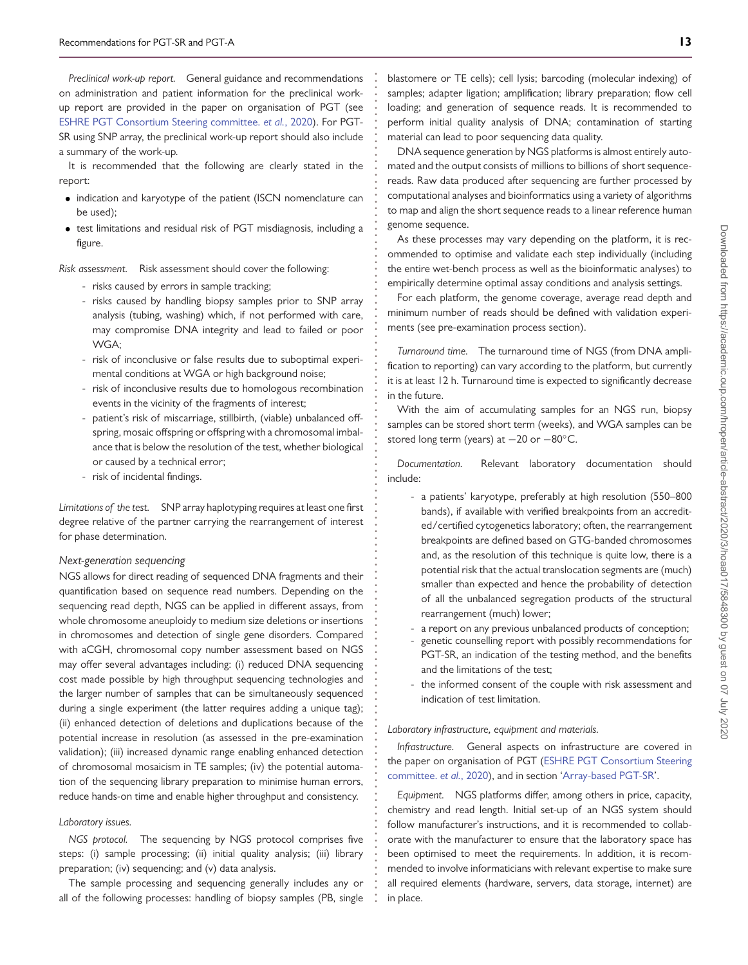*Preclinical work-up report.* General guidance and recommendations on administration and patient information for the preclinical workup report are provided in the paper on organisation of PGT (see [ESHRE PGT Consortium Steering committee.](#page-19-12) *et al.*, 2020). For PGT-SR using SNP array, the preclinical work-up report should also include a summary of the work-up.

It is recommended that the following are clearly stated in the report:

- indication and karyotype of the patient (ISCN nomenclature can be used);
- test limitations and residual risk of PGT misdiagnosis, including a figure.

*Risk assessment.* Risk assessment should cover the following:

- risks caused by errors in sample tracking;
- risks caused by handling biopsy samples prior to SNP array analysis (tubing, washing) which, if not performed with care, may compromise DNA integrity and lead to failed or poor WGA;
- risk of inconclusive or false results due to suboptimal experimental conditions at WGA or high background noise;
- risk of inconclusive results due to homologous recombination events in the vicinity of the fragments of interest;
- patient's risk of miscarriage, stillbirth, (viable) unbalanced offspring, mosaic offspring or offspring with a chromosomal imbalance that is below the resolution of the test, whether biological or caused by a technical error;
- risk of incidental findings.

*Limitations of the test.* SNP array haplotyping requires at least one first degree relative of the partner carrying the rearrangement of interest for phase determination.

#### <span id="page-12-0"></span>*Next-generation sequencing*

NGS allows for direct reading of sequenced DNA fragments and their quantification based on sequence read numbers. Depending on the sequencing read depth, NGS can be applied in different assays, from whole chromosome aneuploidy to medium size deletions or insertions in chromosomes and detection of single gene disorders. Compared with aCGH, chromosomal copy number assessment based on NGS may offer several advantages including: (i) reduced DNA sequencing cost made possible by high throughput sequencing technologies and the larger number of samples that can be simultaneously sequenced during a single experiment (the latter requires adding a unique tag); (ii) enhanced detection of deletions and duplications because of the potential increase in resolution (as assessed in the pre-examination validation); (iii) increased dynamic range enabling enhanced detection of chromosomal mosaicism in TE samples; (iv) the potential automation of the sequencing library preparation to minimise human errors, reduce hands-on time and enable higher throughput and consistency.

#### *Laboratory issues.*

*NGS protocol.* The sequencing by NGS protocol comprises five steps: (i) sample processing; (ii) initial quality analysis; (iii) library preparation; (iv) sequencing; and (v) data analysis.

The sample processing and sequencing generally includes any or all of the following processes: handling of biopsy samples (PB, single blastomere or TE cells); cell lysis; barcoding (molecular indexing) of samples; adapter ligation; amplification; library preparation; flow cell loading; and generation of sequence reads. It is recommended to perform initial quality analysis of DNA; contamination of starting material can lead to poor sequencing data quality.

**. . . . . . . . . . . . . . . . . . . . . . . . . . . . . . . . . . . . . . . . . . . . . . . . . . . . . . . . . . . . . . . . . . . . . . . . . . . . . . . . . . . . . . . . . . . . . . . . . . . . . . . . . . . . . . . . . . . . . . . . . . . .**

DNA sequence generation by NGS platforms is almost entirely automated and the output consists of millions to billions of short sequencereads. Raw data produced after sequencing are further processed by computational analyses and bioinformatics using a variety of algorithms to map and align the short sequence reads to a linear reference human genome sequence.

As these processes may vary depending on the platform, it is recommended to optimise and validate each step individually (including the entire wet-bench process as well as the bioinformatic analyses) to empirically determine optimal assay conditions and analysis settings.

For each platform, the genome coverage, average read depth and minimum number of reads should be defined with validation experiments (see pre-examination process section).

*Turnaround time.* The turnaround time of NGS (from DNA amplification to reporting) can vary according to the platform, but currently it is at least 12 h. Turnaround time is expected to significantly decrease in the future.

With the aim of accumulating samples for an NGS run, biopsy samples can be stored short term (weeks), and WGA samples can be stored long term (years) at -20 or -80°C.

*Documentation.* Relevant laboratory documentation should include:

- a patients' karyotype, preferably at high resolution (550–800 bands), if available with verified breakpoints from an accredited/certified cytogenetics laboratory; often, the rearrangement breakpoints are defined based on GTG-banded chromosomes and, as the resolution of this technique is quite low, there is a potential risk that the actual translocation segments are (much) smaller than expected and hence the probability of detection of all the unbalanced segregation products of the structural rearrangement (much) lower;
- a report on any previous unbalanced products of conception;
- genetic counselling report with possibly recommendations for PGT-SR, an indication of the testing method, and the benefits and the limitations of the test;
- the informed consent of the couple with risk assessment and indication of test limitation.

*Laboratory infrastructure, equipment and materials.*

*Infrastructure.* General aspects on infrastructure are covered in [the paper on organisation of PGT \(ESHRE PGT Consortium Steering](#page-19-12) committee. *et al.*, 2020), and in section ['Array-based PGT-SR'](#page-6-0).

*Equipment.* NGS platforms differ, among others in price, capacity, chemistry and read length. Initial set-up of an NGS system should follow manufacturer's instructions, and it is recommended to collaborate with the manufacturer to ensure that the laboratory space has been optimised to meet the requirements. In addition, it is recommended to involve informaticians with relevant expertise to make sure all required elements (hardware, servers, data storage, internet) are in place.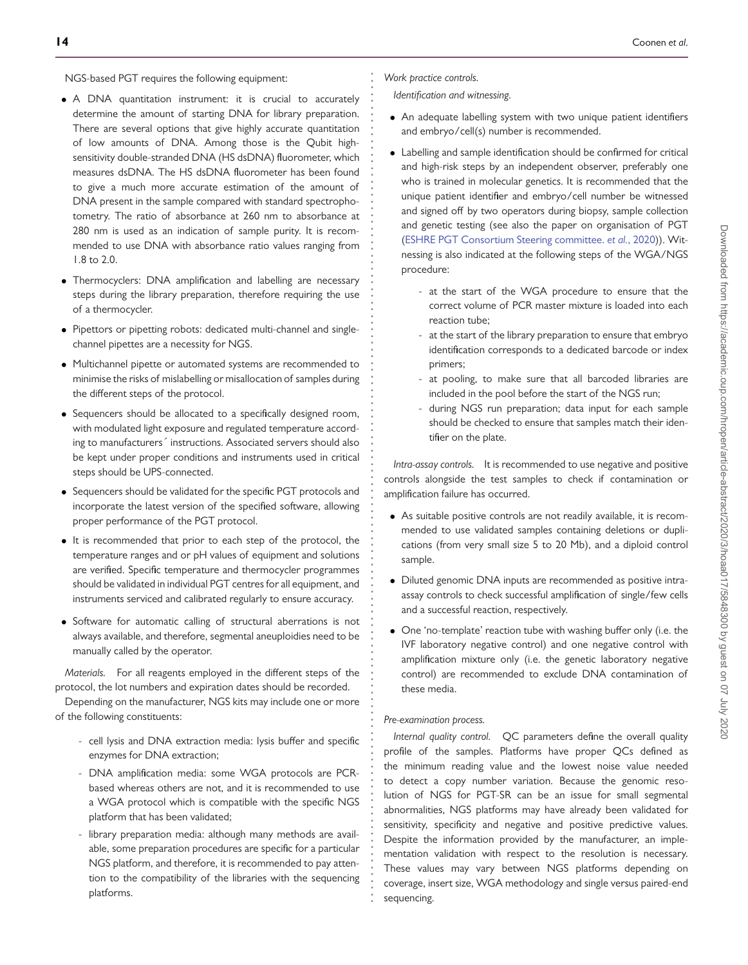NGS-based PGT requires the following equipment:

- A DNA quantitation instrument: it is crucial to accurately determine the amount of starting DNA for library preparation. There are several options that give highly accurate quantitation of low amounts of DNA. Among those is the Qubit highsensitivity double-stranded DNA (HS dsDNA) fluorometer, which measures dsDNA. The HS dsDNA fluorometer has been found to give a much more accurate estimation of the amount of DNA present in the sample compared with standard spectrophotometry. The ratio of absorbance at 260 nm to absorbance at 280 nm is used as an indication of sample purity. It is recommended to use DNA with absorbance ratio values ranging from 1.8 to 2.0.
- Thermocyclers: DNA amplification and labelling are necessary steps during the library preparation, therefore requiring the use of a thermocycler.
- Pipettors or pipetting robots: dedicated multi-channel and singlechannel pipettes are a necessity for NGS.
- Multichannel pipette or automated systems are recommended to minimise the risks of mislabelling or misallocation of samples during the different steps of the protocol.
- Sequencers should be allocated to a specifically designed room, with modulated light exposure and regulated temperature according to manufacturers´ instructions. Associated servers should also be kept under proper conditions and instruments used in critical steps should be UPS-connected.
- Sequencers should be validated for the specific PGT protocols and incorporate the latest version of the specified software, allowing proper performance of the PGT protocol.
- It is recommended that prior to each step of the protocol, the temperature ranges and or pH values of equipment and solutions are verified. Specific temperature and thermocycler programmes should be validated in individual PGT centres for all equipment, and instruments serviced and calibrated regularly to ensure accuracy.
- Software for automatic calling of structural aberrations is not always available, and therefore, segmental aneuploidies need to be manually called by the operator.

*Materials.* For all reagents employed in the different steps of the protocol, the lot numbers and expiration dates should be recorded.

Depending on the manufacturer, NGS kits may include one or more of the following constituents:

- cell lysis and DNA extraction media: lysis buffer and specific enzymes for DNA extraction;
- DNA amplification media: some WGA protocols are PCRbased whereas others are not, and it is recommended to use a WGA protocol which is compatible with the specific NGS platform that has been validated;
- library preparation media: although many methods are available, some preparation procedures are specific for a particular NGS platform, and therefore, it is recommended to pay attention to the compatibility of the libraries with the sequencing platforms.

*Work practice controls.*

**. . . . . . . . . . . . . . . . . . . . . . . . . . . . . . . . . . . . . . . . . . . . . . . . . . . . . . . . . . . . . . . . . . . . . . . . . . . . . . . . . . . . . . . . . . . . . . . . . . . . . . . . . . . . . . . . . . . . . . . . . . . .**

*Identification and witnessing.*

- An adequate labelling system with two unique patient identifiers and embryo/cell(s) number is recommended.
- Labelling and sample identification should be confirmed for critical and high-risk steps by an independent observer, preferably one who is trained in molecular genetics. It is recommended that the unique patient identifier and embryo/cell number be witnessed and signed off by two operators during biopsy, sample collection and genetic testing (see also the paper on organisation of PGT [\(ESHRE PGT Consortium Steering committee.](#page-19-12) *et al.*, 2020)). Witnessing is also indicated at the following steps of the WGA/NGS procedure:
	- at the start of the WGA procedure to ensure that the correct volume of PCR master mixture is loaded into each reaction tube;
	- at the start of the library preparation to ensure that embryo identification corresponds to a dedicated barcode or index primers;
	- at pooling, to make sure that all barcoded libraries are included in the pool before the start of the NGS run;
	- during NGS run preparation; data input for each sample should be checked to ensure that samples match their identifier on the plate.

*Intra-assay controls.* It is recommended to use negative and positive controls alongside the test samples to check if contamination or amplification failure has occurred.

- As suitable positive controls are not readily available, it is recommended to use validated samples containing deletions or duplications (from very small size 5 to 20 Mb), and a diploid control sample.
- Diluted genomic DNA inputs are recommended as positive intraassay controls to check successful amplification of single/few cells and a successful reaction, respectively.
- One 'no-template' reaction tube with washing buffer only (i.e. the IVF laboratory negative control) and one negative control with amplification mixture only (i.e. the genetic laboratory negative control) are recommended to exclude DNA contamination of these media.

# *Pre-examination process.*

*Internal quality control.* QC parameters define the overall quality profile of the samples. Platforms have proper QCs defined as the minimum reading value and the lowest noise value needed to detect a copy number variation. Because the genomic resolution of NGS for PGT-SR can be an issue for small segmental abnormalities, NGS platforms may have already been validated for sensitivity, specificity and negative and positive predictive values. Despite the information provided by the manufacturer, an implementation validation with respect to the resolution is necessary. These values may vary between NGS platforms depending on coverage, insert size, WGA methodology and single versus paired-end sequencing.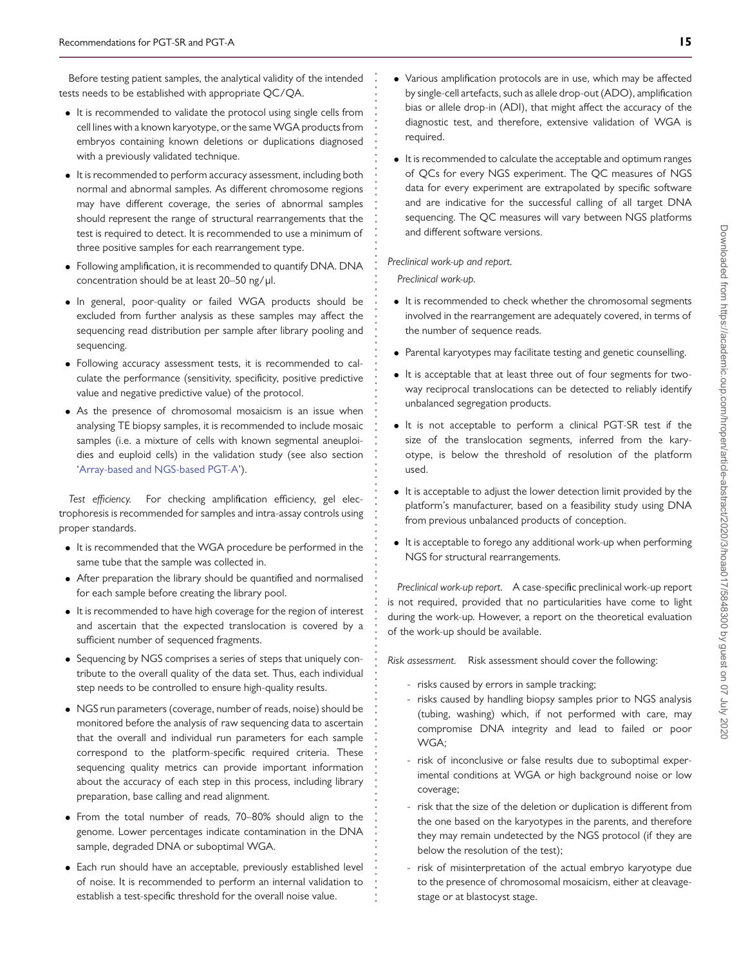Before testing patient samples, the analytical validity of the intended tests needs to be established with appropriate QC/QA.

- It is recommended to validate the protocol using single cells from cell lines with a known karyotype, or the same WGA products from embryos containing known deletions or duplications diagnosed with a previously validated technique.
- It is recommended to perform accuracy assessment, including both normal and abnormal samples. As different chromosome regions may have different coverage, the series of abnormal samples should represent the range of structural rearrangements that the test is required to detect. It is recommended to use a minimum of three positive samples for each rearrangement type.
- Following amplification, it is recommended to quantify DNA. DNA concentration should be at least 20–50 ng/μl.
- In general, poor-quality or failed WGA products should be excluded from further analysis as these samples may affect the sequencing read distribution per sample after library pooling and sequencing.
- Following accuracy assessment tests, it is recommended to calculate the performance (sensitivity, specificity, positive predictive value and negative predictive value) of the protocol.
- As the presence of chromosomal mosaicism is an issue when analysing TE biopsy samples, it is recommended to include mosaic samples (i.e. a mixture of cells with known segmental aneuploidies and euploid cells) in the validation study (see also section ['Array-based and NGS-based PGT-A'](#page-15-0)).

*Test efficiency.* For checking amplification efficiency, gel electrophoresis is recommended for samples and intra-assay controls using proper standards.

- It is recommended that the WGA procedure be performed in the same tube that the sample was collected in.
- After preparation the library should be quantified and normalised for each sample before creating the library pool.
- It is recommended to have high coverage for the region of interest and ascertain that the expected translocation is covered by a sufficient number of sequenced fragments.
- Sequencing by NGS comprises a series of steps that uniquely contribute to the overall quality of the data set. Thus, each individual step needs to be controlled to ensure high-quality results.
- NGS run parameters (coverage, number of reads, noise) should be monitored before the analysis of raw sequencing data to ascertain that the overall and individual run parameters for each sample correspond to the platform-specific required criteria. These sequencing quality metrics can provide important information about the accuracy of each step in this process, including library preparation, base calling and read alignment.
- From the total number of reads, 70–80% should align to the genome. Lower percentages indicate contamination in the DNA sample, degraded DNA or suboptimal WGA.
- Each run should have an acceptable, previously established level of noise. It is recommended to perform an internal validation to establish a test-specific threshold for the overall noise value.
- Various amplification protocols are in use, which may be affected by single-cell artefacts, such as allele drop-out (ADO), amplification bias or allele drop-in (ADI), that might affect the accuracy of the diagnostic test, and therefore, extensive validation of WGA is required.
- It is recommended to calculate the acceptable and optimum ranges of QCs for every NGS experiment. The QC measures of NGS data for every experiment are extrapolated by specific software and are indicative for the successful calling of all target DNA sequencing. The QC measures will vary between NGS platforms and different software versions.

### *Preclinical work-up and report.*

*Preclinical work-up.*

**. . . . . . . . . . . . . . . . . . . . . . . . . . . . . . . . . . . . . . . . . . . . . . . . . . . . . . . . . . . . . . . . . . . . . . . . . . . . . . . . . . . . . . . . . . . . . . . . . . . . . . . . . . . . . . . . . . . . . . . . . . . .**

- It is recommended to check whether the chromosomal segments involved in the rearrangement are adequately covered, in terms of the number of sequence reads.
- Parental karyotypes may facilitate testing and genetic counselling.
- It is acceptable that at least three out of four segments for twoway reciprocal translocations can be detected to reliably identify unbalanced segregation products.
- It is not acceptable to perform a clinical PGT-SR test if the size of the translocation segments, inferred from the karyotype, is below the threshold of resolution of the platform used.
- It is acceptable to adjust the lower detection limit provided by the platform's manufacturer, based on a feasibility study using DNA from previous unbalanced products of conception.
- It is acceptable to forego any additional work-up when performing NGS for structural rearrangements.

*Preclinical work-up report.* A case-specific preclinical work-up report is not required, provided that no particularities have come to light during the work-up. However, a report on the theoretical evaluation of the work-up should be available.

*Risk assessment.* Risk assessment should cover the following:

- risks caused by errors in sample tracking;
- risks caused by handling biopsy samples prior to NGS analysis (tubing, washing) which, if not performed with care, may compromise DNA integrity and lead to failed or poor WGA;
- risk of inconclusive or false results due to suboptimal experimental conditions at WGA or high background noise or low coverage;
- risk that the size of the deletion or duplication is different from the one based on the karyotypes in the parents, and therefore they may remain undetected by the NGS protocol (if they are below the resolution of the test);
- risk of misinterpretation of the actual embryo karyotype due to the presence of chromosomal mosaicism, either at cleavagestage or at blastocyst stage.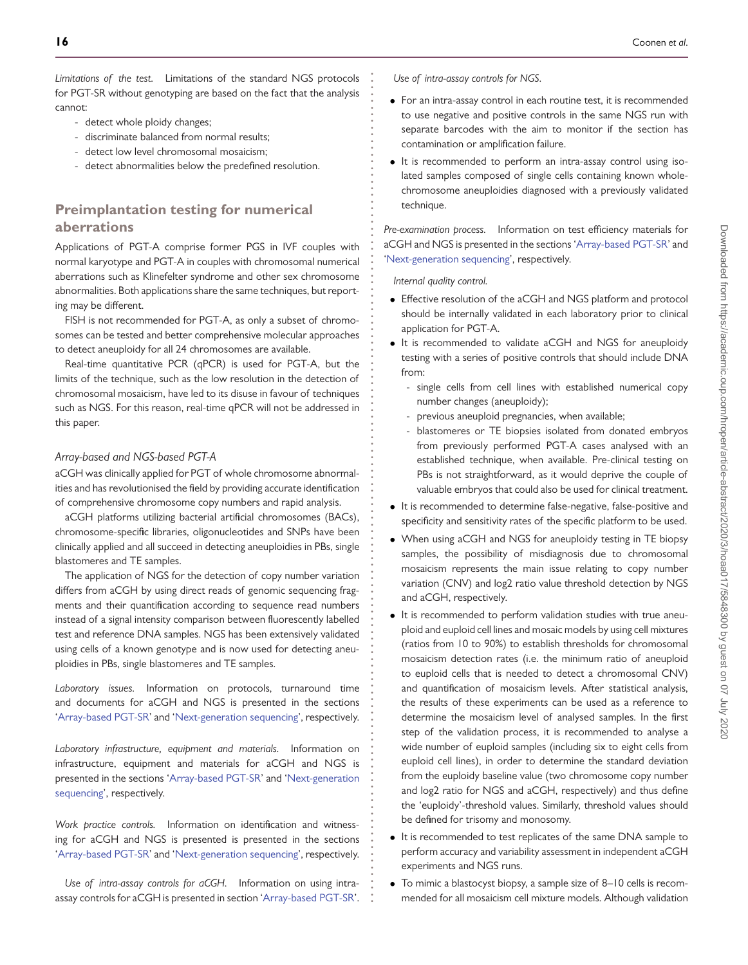*Limitations of the test.* Limitations of the standard NGS protocols for PGT-SR without genotyping are based on the fact that the analysis cannot:

- detect whole ploidy changes;
- discriminate balanced from normal results;
- detect low level chromosomal mosaicism;
- detect abnormalities below the predefined resolution.

# **Preimplantation testing for numerical aberrations**

Applications of PGT-A comprise former PGS in IVF couples with normal karyotype and PGT-A in couples with chromosomal numerical aberrations such as Klinefelter syndrome and other sex chromosome abnormalities. Both applications share the same techniques, but reporting may be different.

FISH is not recommended for PGT-A, as only a subset of chromosomes can be tested and better comprehensive molecular approaches to detect aneuploidy for all 24 chromosomes are available.

Real-time quantitative PCR (qPCR) is used for PGT-A, but the limits of the technique, such as the low resolution in the detection of chromosomal mosaicism, have led to its disuse in favour of techniques such as NGS. For this reason, real-time qPCR will not be addressed in this paper.

### <span id="page-15-0"></span>*Array-based and NGS-based PGT-A*

aCGH was clinically applied for PGT of whole chromosome abnormalities and has revolutionised the field by providing accurate identification of comprehensive chromosome copy numbers and rapid analysis.

aCGH platforms utilizing bacterial artificial chromosomes (BACs), chromosome-specific libraries, oligonucleotides and SNPs have been clinically applied and all succeed in detecting aneuploidies in PBs, single blastomeres and TE samples.

The application of NGS for the detection of copy number variation differs from aCGH by using direct reads of genomic sequencing fragments and their quantification according to sequence read numbers instead of a signal intensity comparison between fluorescently labelled test and reference DNA samples. NGS has been extensively validated using cells of a known genotype and is now used for detecting aneuploidies in PBs, single blastomeres and TE samples.

*Laboratory issues.* Information on protocols, turnaround time and documents for aCGH and NGS is presented in the sections ['Array-based PGT-SR'](#page-6-0) and ['Next-generation sequencing'](#page-12-0), respectively.

*Laboratory infrastructure, equipment and materials.* Information on infrastructure, equipment and materials for aCGH and NGS is presented in the sections ['Array-based PGT-SR'](#page-6-0) and ['Next-generation](#page-12-0) [sequencing'](#page-12-0), respectively.

*Work practice controls.* Information on identification and witnessing for aCGH and NGS is presented is presented in the sections ['Array-based PGT-SR'](#page-6-0) and ['Next-generation sequencing'](#page-12-0), respectively.

*Use of intra-assay controls for aCGH.* Information on using intraassay controls for aCGH is presented in section ['Array-based PGT-SR'](#page-6-0). *Use of intra-assay controls for NGS.*

**. . . . . . . . . . . . . . . . . . . . . . . . . . . . . . . . . . . . . . . . . . . . . . . . . . . . . . . . . . . . . . . . . . . . . . . . . . . . . . . . . . . . . . . . . . . . . . . . . . . . . . . . . . . . . . . . . . . . . . . . . . . .**

- For an intra-assay control in each routine test, it is recommended to use negative and positive controls in the same NGS run with separate barcodes with the aim to monitor if the section has contamination or amplification failure.
- It is recommended to perform an intra-assay control using isolated samples composed of single cells containing known wholechromosome aneuploidies diagnosed with a previously validated technique.

*Pre-examination process.* Information on test efficiency materials for aCGH and NGS is presented in the sections ['Array-based PGT-SR'](#page-6-0) and ['Next-generation sequencing'](#page-12-0), respectively.

*Internal quality control.*

- Effective resolution of the aCGH and NGS platform and protocol should be internally validated in each laboratory prior to clinical application for PGT-A.
- It is recommended to validate aCGH and NGS for aneuploidy testing with a series of positive controls that should include DNA from:
	- single cells from cell lines with established numerical copy number changes (aneuploidy);
	- previous aneuploid pregnancies, when available;
	- blastomeres or TE biopsies isolated from donated embryos from previously performed PGT-A cases analysed with an established technique, when available. Pre-clinical testing on PBs is not straightforward, as it would deprive the couple of valuable embryos that could also be used for clinical treatment.
- It is recommended to determine false-negative, false-positive and specificity and sensitivity rates of the specific platform to be used.
- When using aCGH and NGS for aneuploidy testing in TE biopsy samples, the possibility of misdiagnosis due to chromosomal mosaicism represents the main issue relating to copy number variation (CNV) and log2 ratio value threshold detection by NGS and aCGH, respectively.
- It is recommended to perform validation studies with true aneuploid and euploid cell lines and mosaic models by using cell mixtures (ratios from 10 to 90%) to establish thresholds for chromosomal mosaicism detection rates (i.e. the minimum ratio of aneuploid to euploid cells that is needed to detect a chromosomal CNV) and quantification of mosaicism levels. After statistical analysis, the results of these experiments can be used as a reference to determine the mosaicism level of analysed samples. In the first step of the validation process, it is recommended to analyse a wide number of euploid samples (including six to eight cells from euploid cell lines), in order to determine the standard deviation from the euploidy baseline value (two chromosome copy number and log2 ratio for NGS and aCGH, respectively) and thus define the 'euploidy'-threshold values. Similarly, threshold values should be defined for trisomy and monosomy.
- It is recommended to test replicates of the same DNA sample to perform accuracy and variability assessment in independent aCGH experiments and NGS runs.
- To mimic a blastocyst biopsy, a sample size of 8–10 cells is recommended for all mosaicism cell mixture models. Although validation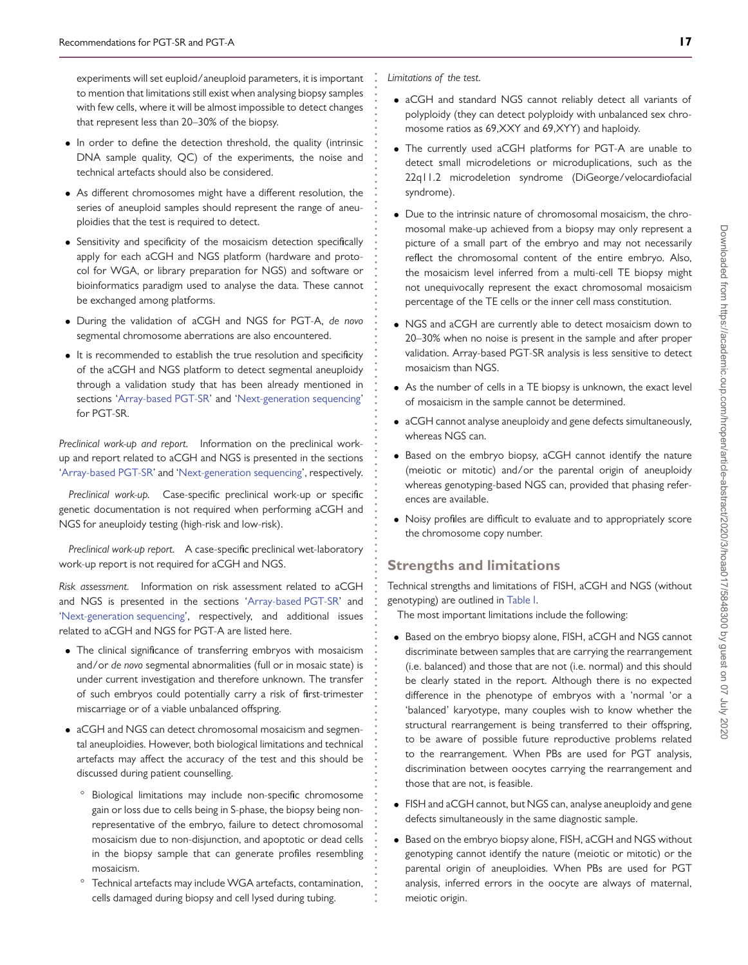experiments will set euploid/aneuploid parameters, it is important to mention that limitations still exist when analysing biopsy samples with few cells, where it will be almost impossible to detect changes that represent less than 20–30% of the biopsy.

- In order to define the detection threshold, the quality (intrinsic DNA sample quality, QC) of the experiments, the noise and technical artefacts should also be considered.
- As different chromosomes might have a different resolution, the series of aneuploid samples should represent the range of aneuploidies that the test is required to detect.
- Sensitivity and specificity of the mosaicism detection specifically apply for each aCGH and NGS platform (hardware and protocol for WGA, or library preparation for NGS) and software or bioinformatics paradigm used to analyse the data. These cannot be exchanged among platforms.
- During the validation of aCGH and NGS for PGT-A, *de novo* segmental chromosome aberrations are also encountered.
- It is recommended to establish the true resolution and specificity of the aCGH and NGS platform to detect segmental aneuploidy through a validation study that has been already mentioned in sections ['Array-based PGT-SR'](#page-6-0) and ['Next-generation sequencing'](#page-12-0) for PGT-SR.

*Preclinical work-up and report.* Information on the preclinical workup and report related to aCGH and NGS is presented in the sections ['Array-based PGT-SR'](#page-6-0) and ['Next-generation sequencing'](#page-12-0), respectively.

*Preclinical work-up.* Case-specific preclinical work-up or specific genetic documentation is not required when performing aCGH and NGS for aneuploidy testing (high-risk and low-risk).

*Preclinical work-up report.* A case-specific preclinical wet-laboratory work-up report is not required for aCGH and NGS.

*Risk assessment.* Information on risk assessment related to aCGH and NGS is presented in the sections ['Array-based PGT-SR'](#page-6-0) and ['Next-generation sequencing'](#page-12-0), respectively, and additional issues related to aCGH and NGS for PGT-A are listed here.

- The clinical significance of transferring embryos with mosaicism and/or *de novo* segmental abnormalities (full or in mosaic state) is under current investigation and therefore unknown. The transfer of such embryos could potentially carry a risk of first-trimester miscarriage or of a viable unbalanced offspring.
- aCGH and NGS can detect chromosomal mosaicism and segmental aneuploidies. However, both biological limitations and technical artefacts may affect the accuracy of the test and this should be discussed during patient counselling.
	- Biological limitations may include non-specific chromosome gain or loss due to cells being in S-phase, the biopsy being nonrepresentative of the embryo, failure to detect chromosomal mosaicism due to non-disjunction, and apoptotic or dead cells in the biopsy sample that can generate profiles resembling mosaicism.
	- Technical artefacts may include WGA artefacts, contamination, cells damaged during biopsy and cell lysed during tubing.

*Limitations of the test.*

**. . . . . . . . . . . . . . . . . . . . . . . . . . . . . . . . . . . . . . . . . . . . . . . . . . . . . . . . . . . . . . . . . . . . . . . . . . . . . . . . . . . . . . . . . . . . . . . . . . . . . . . . . . . . . . . . . . . . . . . . . . . .**

- aCGH and standard NGS cannot reliably detect all variants of polyploidy (they can detect polyploidy with unbalanced sex chromosome ratios as 69,XXY and 69,XYY) and haploidy.
- The currently used aCGH platforms for PGT-A are unable to detect small microdeletions or microduplications, such as the 22q11.2 microdeletion syndrome (DiGeorge/velocardiofacial syndrome).
- Due to the intrinsic nature of chromosomal mosaicism, the chromosomal make-up achieved from a biopsy may only represent a picture of a small part of the embryo and may not necessarily reflect the chromosomal content of the entire embryo. Also, the mosaicism level inferred from a multi-cell TE biopsy might not unequivocally represent the exact chromosomal mosaicism percentage of the TE cells or the inner cell mass constitution.
- NGS and aCGH are currently able to detect mosaicism down to 20–30% when no noise is present in the sample and after proper validation. Array-based PGT-SR analysis is less sensitive to detect mosaicism than NGS.
- As the number of cells in a TE biopsy is unknown, the exact level of mosaicism in the sample cannot be determined.
- aCGH cannot analyse aneuploidy and gene defects simultaneously, whereas NGS can.
- Based on the embryo biopsy, aCGH cannot identify the nature (meiotic or mitotic) and/or the parental origin of aneuploidy whereas genotyping-based NGS can, provided that phasing references are available.
- Noisy profiles are difficult to evaluate and to appropriately score the chromosome copy number.

# **Strengths and limitations**

Technical strengths and limitations of FISH, aCGH and NGS (without genotyping) are outlined in [Table I.](#page-17-0)

The most important limitations include the following:

- Based on the embryo biopsy alone, FISH, aCGH and NGS cannot discriminate between samples that are carrying the rearrangement (i.e. balanced) and those that are not (i.e. normal) and this should be clearly stated in the report. Although there is no expected difference in the phenotype of embryos with a 'normal 'or a 'balanced' karyotype, many couples wish to know whether the structural rearrangement is being transferred to their offspring, to be aware of possible future reproductive problems related to the rearrangement. When PBs are used for PGT analysis, discrimination between oocytes carrying the rearrangement and those that are not, is feasible.
- FISH and aCGH cannot, but NGS can, analyse aneuploidy and gene defects simultaneously in the same diagnostic sample.
- Based on the embryo biopsy alone, FISH, aCGH and NGS without genotyping cannot identify the nature (meiotic or mitotic) or the parental origin of aneuploidies. When PBs are used for PGT analysis, inferred errors in the oocyte are always of maternal, meiotic origin.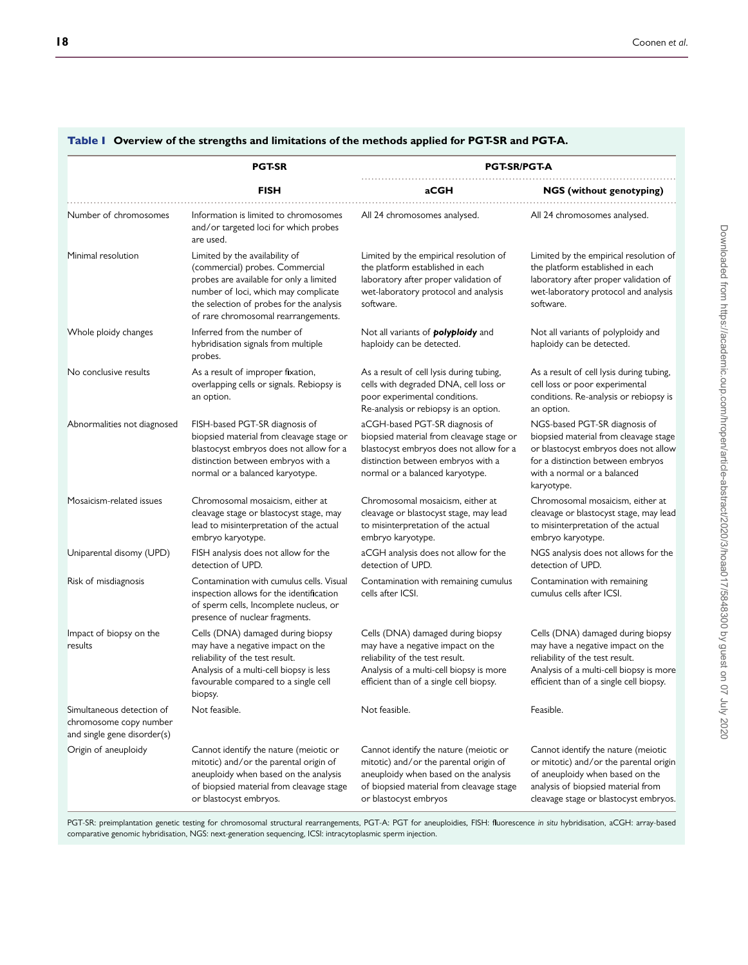|                                                                                    | <b>PGT-SR</b>                                                                                                                                                                                                                           | <b>PGT-SR/PGT-A</b>                                                                                                                                                                             |                                                                                                                                                                                                  |
|------------------------------------------------------------------------------------|-----------------------------------------------------------------------------------------------------------------------------------------------------------------------------------------------------------------------------------------|-------------------------------------------------------------------------------------------------------------------------------------------------------------------------------------------------|--------------------------------------------------------------------------------------------------------------------------------------------------------------------------------------------------|
|                                                                                    | <b>FISH</b>                                                                                                                                                                                                                             | aCGH                                                                                                                                                                                            | <b>NGS</b> (without genotyping)                                                                                                                                                                  |
| Number of chromosomes                                                              | Information is limited to chromosomes<br>and/or targeted loci for which probes<br>are used.                                                                                                                                             | All 24 chromosomes analysed.                                                                                                                                                                    | All 24 chromosomes analysed.                                                                                                                                                                     |
| Minimal resolution                                                                 | Limited by the availability of<br>(commercial) probes. Commercial<br>probes are available for only a limited<br>number of loci, which may complicate<br>the selection of probes for the analysis<br>of rare chromosomal rearrangements. | Limited by the empirical resolution of<br>the platform established in each<br>laboratory after proper validation of<br>wet-laboratory protocol and analysis<br>software.                        | Limited by the empirical resolution of<br>the platform established in each<br>laboratory after proper validation of<br>wet-laboratory protocol and analysis<br>software.                         |
| Whole ploidy changes                                                               | Inferred from the number of<br>hybridisation signals from multiple<br>probes.                                                                                                                                                           | Not all variants of <i>polyploidy</i> and<br>haploidy can be detected.                                                                                                                          | Not all variants of polyploidy and<br>haploidy can be detected.                                                                                                                                  |
| No conclusive results                                                              | As a result of improper fixation,<br>overlapping cells or signals. Rebiopsy is<br>an option.                                                                                                                                            | As a result of cell lysis during tubing,<br>cells with degraded DNA, cell loss or<br>poor experimental conditions.<br>Re-analysis or rebiopsy is an option.                                     | As a result of cell lysis during tubing,<br>cell loss or poor experimental<br>conditions. Re-analysis or rebiopsy is<br>an option.                                                               |
| Abnormalities not diagnosed                                                        | FISH-based PGT-SR diagnosis of<br>biopsied material from cleavage stage or<br>blastocyst embryos does not allow for a<br>distinction between embryos with a<br>normal or a balanced karyotype.                                          | aCGH-based PGT-SR diagnosis of<br>biopsied material from cleavage stage or<br>blastocyst embryos does not allow for a<br>distinction between embryos with a<br>normal or a balanced karyotype.  | NGS-based PGT-SR diagnosis of<br>biopsied material from cleavage stage<br>or blastocyst embryos does not allow<br>for a distinction between embryos<br>with a normal or a balanced<br>karyotype. |
| Mosaicism-related issues                                                           | Chromosomal mosaicism, either at<br>cleavage stage or blastocyst stage, may<br>lead to misinterpretation of the actual<br>embryo karyotype.                                                                                             | Chromosomal mosaicism, either at<br>cleavage or blastocyst stage, may lead<br>to misinterpretation of the actual<br>embryo karyotype.                                                           | Chromosomal mosaicism, either at<br>cleavage or blastocyst stage, may lead<br>to misinterpretation of the actual<br>embryo karyotype.                                                            |
| Uniparental disomy (UPD)                                                           | FISH analysis does not allow for the<br>detection of UPD.                                                                                                                                                                               | aCGH analysis does not allow for the<br>detection of UPD.                                                                                                                                       | NGS analysis does not allows for the<br>detection of UPD.                                                                                                                                        |
| Risk of misdiagnosis                                                               | Contamination with cumulus cells. Visual<br>inspection allows for the identification<br>of sperm cells, Incomplete nucleus, or<br>presence of nuclear fragments.                                                                        | Contamination with remaining cumulus<br>cells after ICSI.                                                                                                                                       | Contamination with remaining<br>cumulus cells after ICSI.                                                                                                                                        |
| Impact of biopsy on the<br>results                                                 | Cells (DNA) damaged during biopsy<br>may have a negative impact on the<br>reliability of the test result.<br>Analysis of a multi-cell biopsy is less<br>favourable compared to a single cell<br>biopsy.                                 | Cells (DNA) damaged during biopsy<br>may have a negative impact on the<br>reliability of the test result.<br>Analysis of a multi-cell biopsy is more<br>efficient than of a single cell biopsy. | Cells (DNA) damaged during biopsy<br>may have a negative impact on the<br>reliability of the test result.<br>Analysis of a multi-cell biopsy is more<br>efficient than of a single cell biopsy.  |
| Simultaneous detection of<br>chromosome copy number<br>and single gene disorder(s) | Not feasible.                                                                                                                                                                                                                           | Not feasible.                                                                                                                                                                                   | Feasible.                                                                                                                                                                                        |
| Origin of aneuploidy                                                               | Cannot identify the nature (meiotic or<br>mitotic) and/or the parental origin of<br>aneuploidy when based on the analysis<br>of biopsied material from cleavage stage<br>or blastocyst embryos.                                         | Cannot identify the nature (meiotic or<br>mitotic) and/or the parental origin of<br>aneuploidy when based on the analysis<br>of biopsied material from cleavage stage<br>or blastocyst embryos  | Cannot identify the nature (meiotic<br>or mitotic) and/or the parental origin<br>of aneuploidy when based on the<br>analysis of biopsied material from<br>cleavage stage or blastocyst embryos.  |

# Table I **Overview of the strengths and limitations of the methods applied for PGT-SR and PGT-A.**

<span id="page-17-0"></span>PGT-SR: preimplantation genetic testing for chromosomal structural rearrangements, PGT-A: PGT for aneuploidies*,* FISH: fluorescence *in situ* hybridisation, aCGH: array-based comparative genomic hybridisation, NGS: next-generation sequencing, ICSI: intracytoplasmic sperm injection.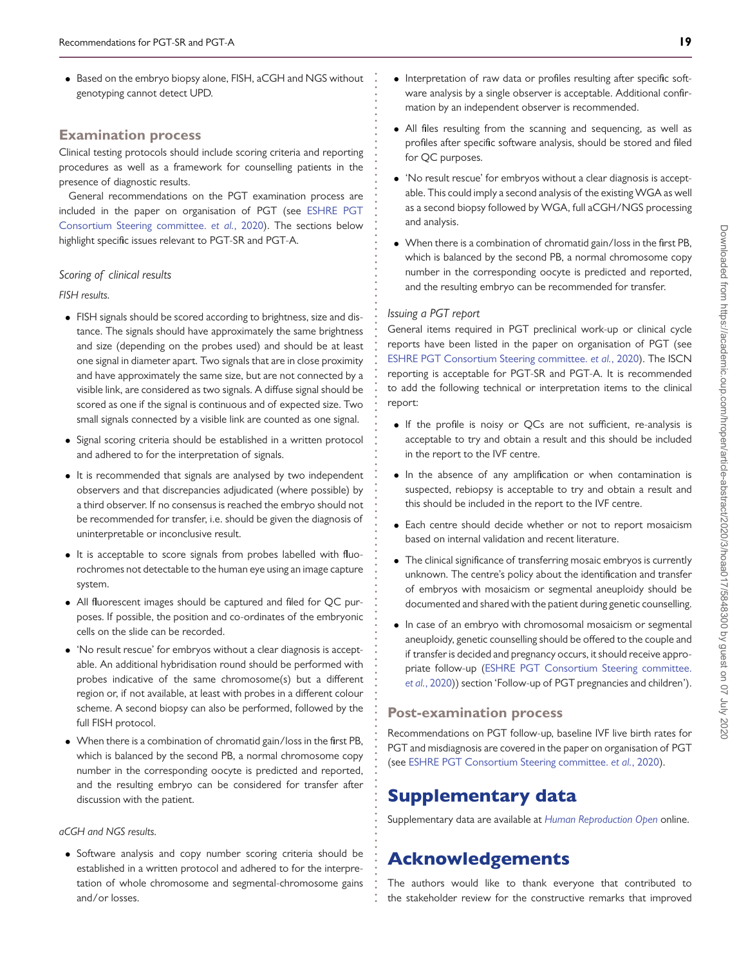• Based on the embryo biopsy alone, FISH, aCGH and NGS without genotyping cannot detect UPD.

# **Examination process**

Clinical testing protocols should include scoring criteria and reporting procedures as well as a framework for counselling patients in the presence of diagnostic results.

General recommendations on the PGT examination process are [included in the paper on organisation of PGT \(see](#page-19-12) ESHRE PGT Consortium Steering committee. *et al.*, 2020). The sections below highlight specific issues relevant to PGT-SR and PGT-A.

### *Scoring of clinical results*

#### *FISH results.*

- FISH signals should be scored according to brightness, size and distance. The signals should have approximately the same brightness and size (depending on the probes used) and should be at least one signal in diameter apart. Two signals that are in close proximity and have approximately the same size, but are not connected by a visible link, are considered as two signals. A diffuse signal should be scored as one if the signal is continuous and of expected size. Two small signals connected by a visible link are counted as one signal.
- Signal scoring criteria should be established in a written protocol and adhered to for the interpretation of signals.
- It is recommended that signals are analysed by two independent observers and that discrepancies adjudicated (where possible) by a third observer. If no consensus is reached the embryo should not be recommended for transfer, i.e. should be given the diagnosis of uninterpretable or inconclusive result.
- It is acceptable to score signals from probes labelled with fluorochromes not detectable to the human eye using an image capture system.
- All fluorescent images should be captured and filed for QC purposes. If possible, the position and co-ordinates of the embryonic cells on the slide can be recorded.
- 'No result rescue' for embryos without a clear diagnosis is acceptable. An additional hybridisation round should be performed with probes indicative of the same chromosome(s) but a different region or, if not available, at least with probes in a different colour scheme. A second biopsy can also be performed, followed by the full FISH protocol.
- When there is a combination of chromatid gain/loss in the first PB, which is balanced by the second PB, a normal chromosome copy number in the corresponding oocyte is predicted and reported, and the resulting embryo can be considered for transfer after discussion with the patient.

## *aCGH and NGS results.*

• Software analysis and copy number scoring criteria should be established in a written protocol and adhered to for the interpretation of whole chromosome and segmental-chromosome gains and/or losses.

- Interpretation of raw data or profiles resulting after specific software analysis by a single observer is acceptable. Additional confirmation by an independent observer is recommended.
- All files resulting from the scanning and sequencing, as well as profiles after specific software analysis, should be stored and filed for QC purposes.
- 'No result rescue' for embryos without a clear diagnosis is acceptable. This could imply a second analysis of the existingWGA as well as a second biopsy followed by WGA, full aCGH/NGS processing and analysis.
- When there is a combination of chromatid gain/loss in the first PB, which is balanced by the second PB, a normal chromosome copy number in the corresponding oocyte is predicted and reported, and the resulting embryo can be recommended for transfer.

### *Issuing a PGT report*

**. . . . . . . . . . . . . . . . . . . . . . . . . . . . . . . . . . . . . . . . . . . . . . . . . . . . . . . . . . . . . . . . . . . . . . . . . . . . . . . . . . . . . . . . . . . . . . . . . . . . . . . . . . . . . . . . . . . . . . . . . . . .**

General items required in PGT preclinical work-up or clinical cycle reports have been listed in the paper on organisation of PGT (see [ESHRE PGT Consortium Steering committee.](#page-19-12) *et al.*, 2020). The ISCN reporting is acceptable for PGT-SR and PGT-A. It is recommended to add the following technical or interpretation items to the clinical report:

- If the profile is noisy or QCs are not sufficient, re-analysis is acceptable to try and obtain a result and this should be included in the report to the IVF centre.
- In the absence of any amplification or when contamination is suspected, rebiopsy is acceptable to try and obtain a result and this should be included in the report to the IVF centre.
- Each centre should decide whether or not to report mosaicism based on internal validation and recent literature.
- The clinical significance of transferring mosaic embryos is currently unknown. The centre's policy about the identification and transfer of embryos with mosaicism or segmental aneuploidy should be documented and shared with the patient during genetic counselling.
- In case of an embryo with chromosomal mosaicism or segmental aneuploidy, genetic counselling should be offered to the couple and if transfer is decided and pregnancy occurs, it should receive appro[priate follow-up \(ESHRE PGT Consortium Steering committee.](#page-19-12) *et al.*, 2020)) section 'Follow-up of PGT pregnancies and children').

# **Post-examination process**

Recommendations on PGT follow-up, baseline IVF live birth rates for PGT and misdiagnosis are covered in the paper on organisation of PGT (see [ESHRE PGT Consortium Steering committee.](#page-19-12) *et al.*, 2020).

# Supplementary data

Supplementary data are available at *[Human Reproduction Open](https://academic.oup.com/hropen/article-lookup/doi/10.1093/hropen/hoaa017#supplementary-data)* online.

# Acknowledgements

The authors would like to thank everyone that contributed to the stakeholder review for the constructive remarks that improved